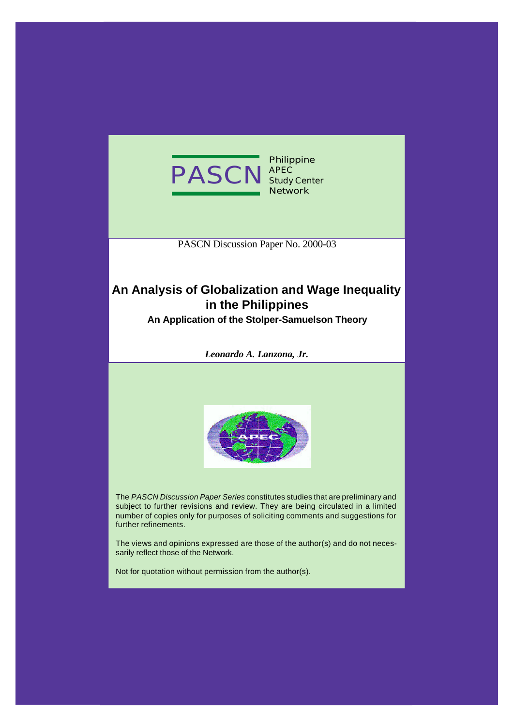

**Philippine APEC Study Center Network**

PASCN Discussion Paper No. 2000-03

# **An Analysis of Globalization and Wage Inequality in the Philippines**

**An Application of the Stolper-Samuelson Theory**

*Leonardo A. Lanzona, Jr.*



The *PASCN Discussion Paper Series* constitutes studies that are preliminary and subject to further revisions and review. They are being circulated in a limited number of copies only for purposes of soliciting comments and suggestions for further refinements.

The views and opinions expressed are those of the author(s) and do not necessarily reflect those of the Network.

Not for quotation without permission from the author(s).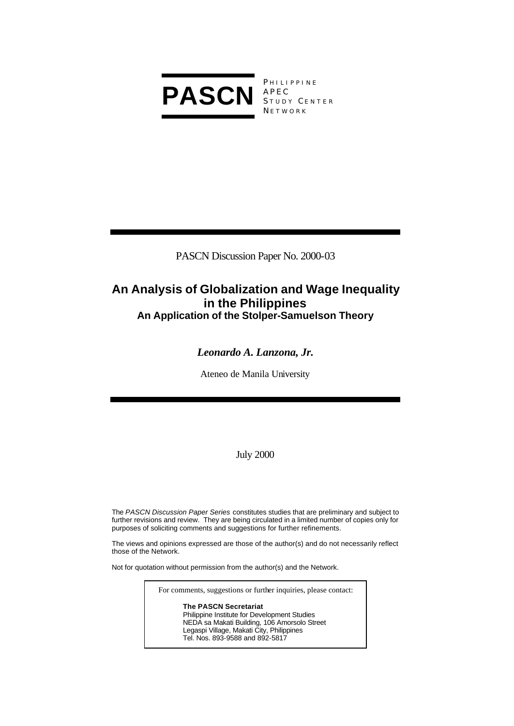

**PHILIPPINE** APEC STUDY CENTER **NETWORK** 

PASCN Discussion Paper No. 2000-03

# **An Analysis of Globalization and Wage Inequality in the Philippines An Application of the Stolper-Samuelson Theory**

# *Leonardo A. Lanzona, Jr.*

Ateneo de Manila University

July 2000

The *PASCN Discussion Paper Series* constitutes studies that are preliminary and subject to further revisions and review. They are being circulated in a limited number of copies only for purposes of soliciting comments and suggestions for further refinements.

The views and opinions expressed are those of the author(s) and do not necessarily reflect those of the Network.

Not for quotation without permission from the author(s) and the Network.

For comments, suggestions or further inquiries, please contact:

**The PASCN Secretariat** Philippine Institute for Development Studies NEDA sa Makati Building, 106 Amorsolo Street Legaspi Village, Makati City, Philippines Tel. Nos. 893-9588 and 892-5817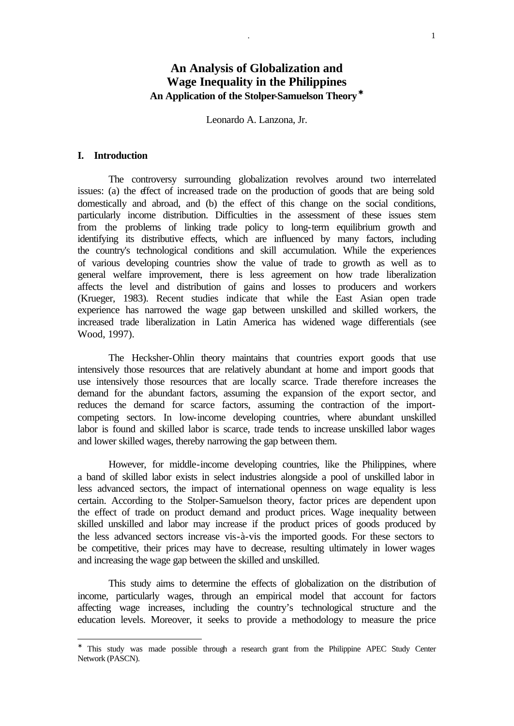## **An Analysis of Globalization and Wage Inequality in the Philippines An Application of the Stolper-Samuelson Theory\***

Leonardo A. Lanzona, Jr.

#### **I. Introduction**

l

The controversy surrounding globalization revolves around two interrelated issues: (a) the effect of increased trade on the production of goods that are being sold domestically and abroad, and (b) the effect of this change on the social conditions, particularly income distribution. Difficulties in the assessment of these issues stem from the problems of linking trade policy to long-term equilibrium growth and identifying its distributive effects, which are influenced by many factors, including the country's technological conditions and skill accumulation. While the experiences of various developing countries show the value of trade to growth as well as to general welfare improvement, there is less agreement on how trade liberalization affects the level and distribution of gains and losses to producers and workers (Krueger, 1983). Recent studies indicate that while the East Asian open trade experience has narrowed the wage gap between unskilled and skilled workers, the increased trade liberalization in Latin America has widened wage differentials (see Wood, 1997).

The Hecksher-Ohlin theory maintains that countries export goods that use intensively those resources that are relatively abundant at home and import goods that use intensively those resources that are locally scarce. Trade therefore increases the demand for the abundant factors, assuming the expansion of the export sector, and reduces the demand for scarce factors, assuming the contraction of the importcompeting sectors. In low-income developing countries, where abundant unskilled labor is found and skilled labor is scarce, trade tends to increase unskilled labor wages and lower skilled wages, thereby narrowing the gap between them.

However, for middle-income developing countries, like the Philippines, where a band of skilled labor exists in select industries alongside a pool of unskilled labor in less advanced sectors, the impact of international openness on wage equality is less certain. According to the Stolper-Samuelson theory, factor prices are dependent upon the effect of trade on product demand and product prices. Wage inequality between skilled unskilled and labor may increase if the product prices of goods produced by the less advanced sectors increase vis-à-vis the imported goods. For these sectors to be competitive, their prices may have to decrease, resulting ultimately in lower wages and increasing the wage gap between the skilled and unskilled.

This study aims to determine the effects of globalization on the distribution of income, particularly wages, through an empirical model that account for factors affecting wage increases, including the country's technological structure and the education levels. Moreover, it seeks to provide a methodology to measure the price

<sup>∗</sup> This study was made possible through a research grant from the Philippine APEC Study Center Network (PASCN).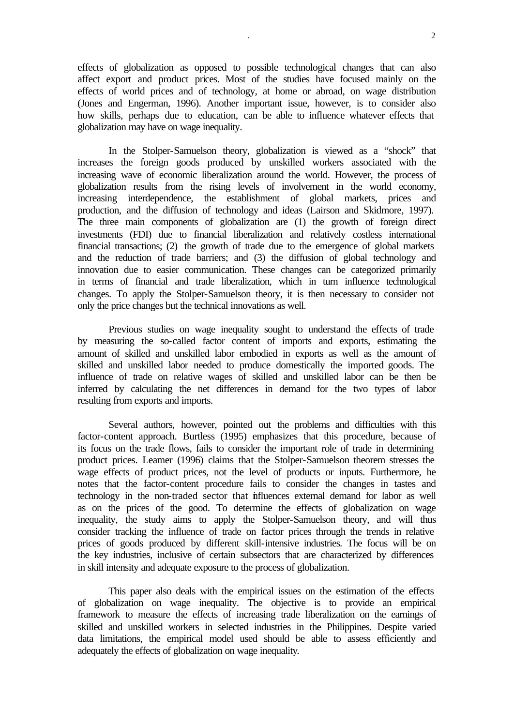effects of globalization as opposed to possible technological changes that can also affect export and product prices. Most of the studies have focused mainly on the effects of world prices and of technology, at home or abroad, on wage distribution (Jones and Engerman, 1996). Another important issue, however, is to consider also how skills, perhaps due to education, can be able to influence whatever effects that globalization may have on wage inequality.

In the Stolper-Samuelson theory, globalization is viewed as a "shock" that increases the foreign goods produced by unskilled workers associated with the increasing wave of economic liberalization around the world. However, the process of globalization results from the rising levels of involvement in the world economy, increasing interdependence, the establishment of global markets, prices and production, and the diffusion of technology and ideas (Lairson and Skidmore, 1997). The three main components of globalization are (1) the growth of foreign direct investments (FDI) due to financial liberalization and relatively costless international financial transactions; (2) the growth of trade due to the emergence of global markets and the reduction of trade barriers; and (3) the diffusion of global technology and innovation due to easier communication. These changes can be categorized primarily in terms of financial and trade liberalization, which in turn influence technological changes. To apply the Stolper-Samuelson theory, it is then necessary to consider not only the price changes but the technical innovations as well.

Previous studies on wage inequality sought to understand the effects of trade by measuring the so-called factor content of imports and exports, estimating the amount of skilled and unskilled labor embodied in exports as well as the amount of skilled and unskilled labor needed to produce domestically the imported goods. The influence of trade on relative wages of skilled and unskilled labor can be then be inferred by calculating the net differences in demand for the two types of labor resulting from exports and imports.

Several authors, however, pointed out the problems and difficulties with this factor-content approach. Burtless (1995) emphasizes that this procedure, because of its focus on the trade flows, fails to consider the important role of trade in determining product prices. Leamer (1996) claims that the Stolper-Samuelson theorem stresses the wage effects of product prices, not the level of products or inputs. Furthermore, he notes that the factor-content procedure fails to consider the changes in tastes and technology in the non-traded sector that influences external demand for labor as well as on the prices of the good. To determine the effects of globalization on wage inequality, the study aims to apply the Stolper-Samuelson theory, and will thus consider tracking the influence of trade on factor prices through the trends in relative prices of goods produced by different skill-intensive industries. The focus will be on the key industries, inclusive of certain subsectors that are characterized by differences in skill intensity and adequate exposure to the process of globalization.

This paper also deals with the empirical issues on the estimation of the effects of globalization on wage inequality. The objective is to provide an empirical framework to measure the effects of increasing trade liberalization on the earnings of skilled and unskilled workers in selected industries in the Philippines. Despite varied data limitations, the empirical model used should be able to assess efficiently and adequately the effects of globalization on wage inequality.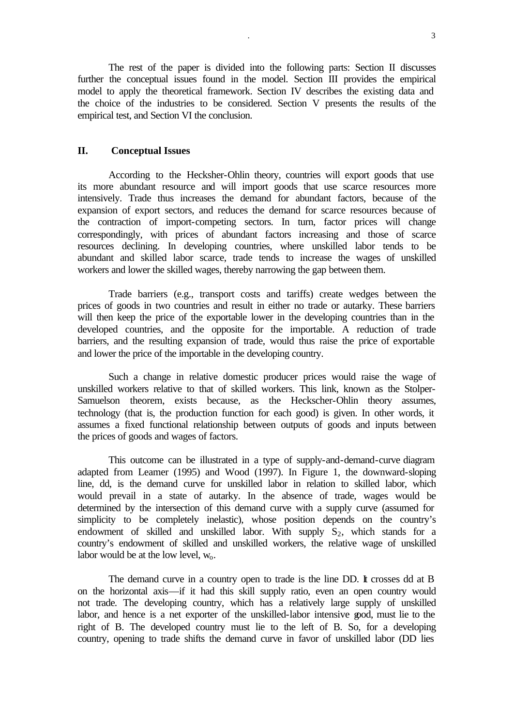The rest of the paper is divided into the following parts: Section II discusses further the conceptual issues found in the model. Section III provides the empirical model to apply the theoretical framework. Section IV describes the existing data and the choice of the industries to be considered. Section V presents the results of the empirical test, and Section VI the conclusion.

#### **II. Conceptual Issues**

According to the Hecksher-Ohlin theory, countries will export goods that use its more abundant resource and will import goods that use scarce resources more intensively. Trade thus increases the demand for abundant factors, because of the expansion of export sectors, and reduces the demand for scarce resources because of the contraction of import-competing sectors. In turn, factor prices will change correspondingly, with prices of abundant factors increasing and those of scarce resources declining. In developing countries, where unskilled labor tends to be abundant and skilled labor scarce, trade tends to increase the wages of unskilled workers and lower the skilled wages, thereby narrowing the gap between them.

Trade barriers (e.g., transport costs and tariffs) create wedges between the prices of goods in two countries and result in either no trade or autarky. These barriers will then keep the price of the exportable lower in the developing countries than in the developed countries, and the opposite for the importable. A reduction of trade barriers, and the resulting expansion of trade, would thus raise the price of exportable and lower the price of the importable in the developing country.

Such a change in relative domestic producer prices would raise the wage of unskilled workers relative to that of skilled workers. This link, known as the Stolper-Samuelson theorem, exists because, as the Heckscher-Ohlin theory assumes, technology (that is, the production function for each good) is given. In other words, it assumes a fixed functional relationship between outputs of goods and inputs between the prices of goods and wages of factors.

This outcome can be illustrated in a type of supply-and-demand-curve diagram adapted from Leamer (1995) and Wood (1997). In Figure 1, the downward-sloping line, dd, is the demand curve for unskilled labor in relation to skilled labor, which would prevail in a state of autarky. In the absence of trade, wages would be determined by the intersection of this demand curve with a supply curve (assumed for simplicity to be completely inelastic), whose position depends on the country's endowment of skilled and unskilled labor. With supply  $S_2$ , which stands for a country's endowment of skilled and unskilled workers, the relative wage of unskilled labor would be at the low level,  $w_0$ .

The demand curve in a country open to trade is the line DD. It crosses dd at B on the horizontal axis—if it had this skill supply ratio, even an open country would not trade. The developing country, which has a relatively large supply of unskilled labor, and hence is a net exporter of the unskilled-labor intensive good, must lie to the right of B. The developed country must lie to the left of B. So, for a developing country, opening to trade shifts the demand curve in favor of unskilled labor (DD lies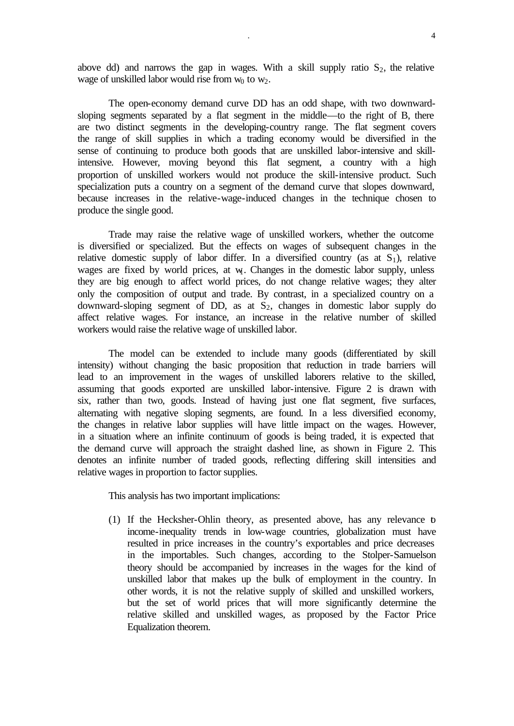above dd) and narrows the gap in wages. With a skill supply ratio  $S_2$ , the relative wage of unskilled labor would rise from  $w_0$  to  $w_2$ .

The open-economy demand curve DD has an odd shape, with two downwardsloping segments separated by a flat segment in the middle—to the right of B, there are two distinct segments in the developing-country range. The flat segment covers the range of skill supplies in which a trading economy would be diversified in the sense of continuing to produce both goods that are unskilled labor-intensive and skillintensive. However, moving beyond this flat segment, a country with a high proportion of unskilled workers would not produce the skill-intensive product. Such specialization puts a country on a segment of the demand curve that slopes downward, because increases in the relative-wage-induced changes in the technique chosen to produce the single good.

Trade may raise the relative wage of unskilled workers, whether the outcome is diversified or specialized. But the effects on wages of subsequent changes in the relative domestic supply of labor differ. In a diversified country (as at  $S_1$ ), relative wages are fixed by world prices, at w. Changes in the domestic labor supply, unless they are big enough to affect world prices, do not change relative wages; they alter only the composition of output and trade. By contrast, in a specialized country on a downward-sloping segment of DD, as at  $S_2$ , changes in domestic labor supply do affect relative wages. For instance, an increase in the relative number of skilled workers would raise the relative wage of unskilled labor.

The model can be extended to include many goods (differentiated by skill intensity) without changing the basic proposition that reduction in trade barriers will lead to an improvement in the wages of unskilled laborers relative to the skilled, assuming that goods exported are unskilled labor-intensive. Figure 2 is drawn with six, rather than two, goods. Instead of having just one flat segment, five surfaces, alternating with negative sloping segments, are found. In a less diversified economy, the changes in relative labor supplies will have little impact on the wages. However, in a situation where an infinite continuum of goods is being traded, it is expected that the demand curve will approach the straight dashed line, as shown in Figure 2. This denotes an infinite number of traded goods, reflecting differing skill intensities and relative wages in proportion to factor supplies.

This analysis has two important implications:

(1) If the Hecksher-Ohlin theory, as presented above, has any relevance to income-inequality trends in low-wage countries, globalization must have resulted in price increases in the country's exportables and price decreases in the importables. Such changes, according to the Stolper-Samuelson theory should be accompanied by increases in the wages for the kind of unskilled labor that makes up the bulk of employment in the country. In other words, it is not the relative supply of skilled and unskilled workers, but the set of world prices that will more significantly determine the relative skilled and unskilled wages, as proposed by the Factor Price Equalization theorem.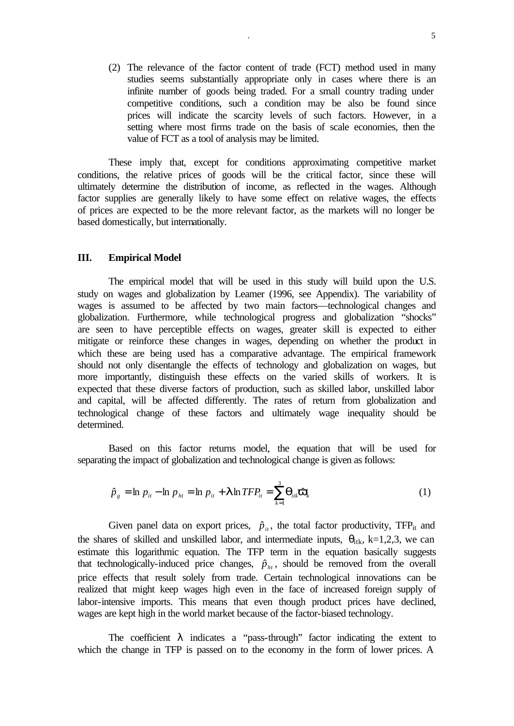(2) The relevance of the factor content of trade (FCT) method used in many studies seems substantially appropriate only in cases where there is an infinite number of goods being traded. For a small country trading under competitive conditions, such a condition may be also be found since prices will indicate the scarcity levels of such factors. However, in a setting where most firms trade on the basis of scale economies, then the value of FCT as a tool of analysis may be limited.

These imply that, except for conditions approximating competitive market conditions, the relative prices of goods will be the critical factor, since these will ultimately determine the distribution of income, as reflected in the wages. Although factor supplies are generally likely to have some effect on relative wages, the effects of prices are expected to be the more relevant factor, as the markets will no longer be based domestically, but internationally.

#### **III. Empirical Model**

The empirical model that will be used in this study will build upon the U.S. study on wages and globalization by Leamer (1996, see Appendix). The variability of wages is assumed to be affected by two main factors—technological changes and globalization. Furthermore, while technological progress and globalization "shocks" are seen to have perceptible effects on wages, greater skill is expected to either mitigate or reinforce these changes in wages, depending on whether the product in which these are being used has a comparative advantage. The empirical framework should not only disentangle the effects of technology and globalization on wages, but more importantly, distinguish these effects on the varied skills of workers. It is expected that these diverse factors of production, such as skilled labor, unskilled labor and capital, will be affected differently. The rates of return from globalization and technological change of these factors and ultimately wage inequality should be determined.

Based on this factor returns model, the equation that will be used for separating the impact of globalization and technological change is given as follows:

$$
\hat{p}_g = \ln p_{it} - \ln p_{ht} = \ln p_{it} + \mathbf{I} \ln TFP_{it} = \sum_{k=1}^3 \mathbf{q}_{itk} \hat{\mathbf{v}}_k
$$
\n(1)

Given panel data on export prices,  $\hat{p}_{it}$ , the total factor productivity, TFP<sub>it</sub> and the shares of skilled and unskilled labor, and intermediate inputs,  $\theta_{\text{itk}}$ , k=1,2,3, we can estimate this logarithmic equation. The TFP term in the equation basically suggests that technologically-induced price changes,  $\hat{p}_{ht}$ , should be removed from the overall price effects that result solely from trade. Certain technological innovations can be realized that might keep wages high even in the face of increased foreign supply of labor-intensive imports. This means that even though product prices have declined, wages are kept high in the world market because of the factor-biased technology.

The coefficient  $\lambda$  indicates a "pass-through" factor indicating the extent to which the change in TFP is passed on to the economy in the form of lower prices. A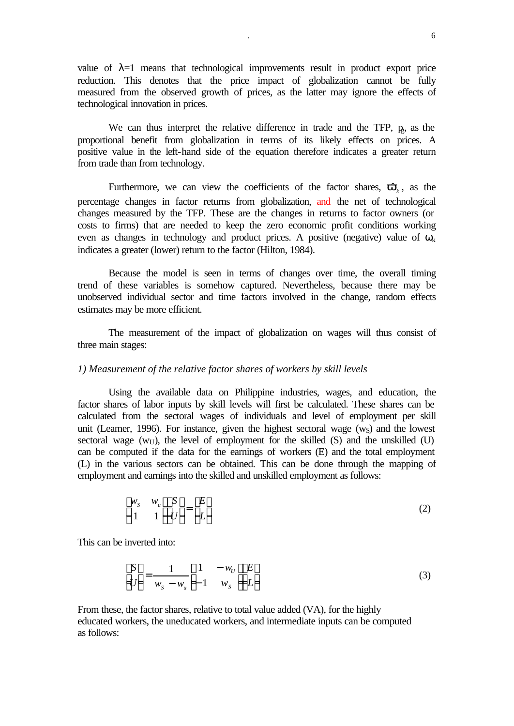value of  $\lambda=1$  means that technological improvements result in product export price reduction. This denotes that the price impact of globalization cannot be fully measured from the observed growth of prices, as the latter may ignore the effects of technological innovation in prices.

We can thus interpret the relative difference in trade and the TFP,  $p<sub>s</sub>$ , as the proportional benefit from globalization in terms of its likely effects on prices. A positive value in the left-hand side of the equation therefore indicates a greater return from trade than from technology.

Furthermore, we can view the coefficients of the factor shares,  $\hat{\mathbf{v}}_k$ , as the percentage changes in factor returns from globalization, and the net of technological changes measured by the TFP. These are the changes in returns to factor owners (or costs to firms) that are needed to keep the zero economic profit conditions working even as changes in technology and product prices. A positive (negative) value of  $\omega_k$ indicates a greater (lower) return to the factor (Hilton, 1984).

Because the model is seen in terms of changes over time, the overall timing trend of these variables is somehow captured. Nevertheless, because there may be unobserved individual sector and time factors involved in the change, random effects estimates may be more efficient.

The measurement of the impact of globalization on wages will thus consist of three main stages:

#### *1) Measurement of the relative factor shares of workers by skill levels*

Using the available data on Philippine industries, wages, and education, the factor shares of labor inputs by skill levels will first be calculated. These shares can be calculated from the sectoral wages of individuals and level of employment per skill unit (Leamer, 1996). For instance, given the highest sectoral wage  $(w<sub>S</sub>)$  and the lowest sectoral wage  $(w_U)$ , the level of employment for the skilled (S) and the unskilled (U) can be computed if the data for the earnings of workers (E) and the total employment (L) in the various sectors can be obtained. This can be done through the mapping of employment and earnings into the skilled and unskilled employment as follows:

$$
\begin{bmatrix} w_s & w_u \\ 1 & 1 \end{bmatrix} \begin{bmatrix} S \\ U \end{bmatrix} = \begin{bmatrix} E \\ L \end{bmatrix}
$$
 (2)

This can be inverted into:

$$
\begin{bmatrix} S \\ U \end{bmatrix} = \frac{1}{w_s - w_u} \begin{bmatrix} 1 & -w_v \\ -1 & w_s \end{bmatrix} \begin{bmatrix} E \\ L \end{bmatrix}
$$
 (3)

From these, the factor shares, relative to total value added (VA), for the highly educated workers, the uneducated workers, and intermediate inputs can be computed as follows: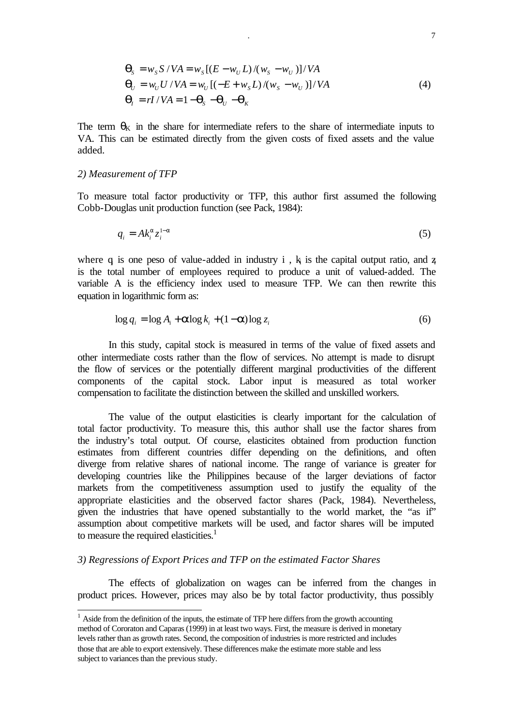$$
\mathbf{q}_s = w_s S / VA = w_s [(E - w_U L) / (w_s - w_U)] / VA
$$
  
\n
$$
\mathbf{q}_U = w_U U / VA = w_U [(-E + w_s L) / (w_s - w_U)] / VA
$$
  
\n
$$
\mathbf{q}_I = rI / VA = 1 - \mathbf{q}_s - \mathbf{q}_U - \mathbf{q}_K
$$
\n(4)

The term  $\theta_K$  in the share for intermediate refers to the share of intermediate inputs to VA. This can be estimated directly from the given costs of fixed assets and the value added.

#### *2) Measurement of TFP*

l

To measure total factor productivity or TFP, this author first assumed the following Cobb-Douglas unit production function (see Pack, 1984):

$$
q_i = Ak_i^a z_i^{1-a} \tag{5}
$$

where q is one peso of value-added in industry i,  $k_i$  is the capital output ratio, and z is the total number of employees required to produce a unit of valued-added. The variable A is the efficiency index used to measure TFP. We can then rewrite this equation in logarithmic form as:

$$
\log q_i = \log A_i + \mathbf{a} \log k_i + (1 - \mathbf{a}) \log z_i \tag{6}
$$

In this study, capital stock is measured in terms of the value of fixed assets and other intermediate costs rather than the flow of services. No attempt is made to disrupt the flow of services or the potentially different marginal productivities of the different components of the capital stock. Labor input is measured as total worker compensation to facilitate the distinction between the skilled and unskilled workers.

The value of the output elasticities is clearly important for the calculation of total factor productivity. To measure this, this author shall use the factor shares from the industry's total output. Of course, elasticites obtained from production function estimates from different countries differ depending on the definitions, and often diverge from relative shares of national income. The range of variance is greater for developing countries like the Philippines because of the larger deviations of factor markets from the competitiveness assumption used to justify the equality of the appropriate elasticities and the observed factor shares (Pack, 1984). Nevertheless, given the industries that have opened substantially to the world market, the "as if" assumption about competitive markets will be used, and factor shares will be imputed to measure the required elasticities. $<sup>1</sup>$ </sup>

#### *3) Regressions of Export Prices and TFP on the estimated Factor Shares*

The effects of globalization on wages can be inferred from the changes in product prices. However, prices may also be by total factor productivity, thus possibly

 $<sup>1</sup>$  Aside from the definition of the inputs, the estimate of TFP here differs from the growth accounting</sup> method of Cororaton and Caparas (1999) in at least two ways. First, the measure is derived in monetary levels rather than as growth rates. Second, the composition of industries is more restricted and includes those that are able to export extensively. These differences make the estimate more stable and less subject to variances than the previous study.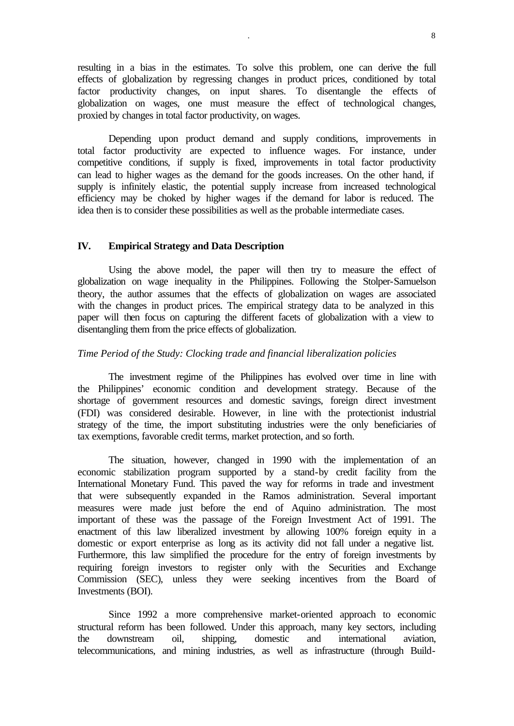resulting in a bias in the estimates. To solve this problem, one can derive the full effects of globalization by regressing changes in product prices, conditioned by total factor productivity changes, on input shares. To disentangle the effects of globalization on wages, one must measure the effect of technological changes, proxied by changes in total factor productivity, on wages.

Depending upon product demand and supply conditions, improvements in total factor productivity are expected to influence wages. For instance, under competitive conditions, if supply is fixed, improvements in total factor productivity can lead to higher wages as the demand for the goods increases. On the other hand, if supply is infinitely elastic, the potential supply increase from increased technological efficiency may be choked by higher wages if the demand for labor is reduced. The idea then is to consider these possibilities as well as the probable intermediate cases.

#### **IV. Empirical Strategy and Data Description**

Using the above model, the paper will then try to measure the effect of globalization on wage inequality in the Philippines. Following the Stolper-Samuelson theory, the author assumes that the effects of globalization on wages are associated with the changes in product prices. The empirical strategy data to be analyzed in this paper will then focus on capturing the different facets of globalization with a view to disentangling them from the price effects of globalization.

#### *Time Period of the Study: Clocking trade and financial liberalization policies*

The investment regime of the Philippines has evolved over time in line with the Philippines' economic condition and development strategy. Because of the shortage of government resources and domestic savings, foreign direct investment (FDI) was considered desirable. However, in line with the protectionist industrial strategy of the time, the import substituting industries were the only beneficiaries of tax exemptions, favorable credit terms, market protection, and so forth.

The situation, however, changed in 1990 with the implementation of an economic stabilization program supported by a stand-by credit facility from the International Monetary Fund. This paved the way for reforms in trade and investment that were subsequently expanded in the Ramos administration. Several important measures were made just before the end of Aquino administration. The most important of these was the passage of the Foreign Investment Act of 1991. The enactment of this law liberalized investment by allowing 100% foreign equity in a domestic or export enterprise as long as its activity did not fall under a negative list. Furthermore, this law simplified the procedure for the entry of foreign investments by requiring foreign investors to register only with the Securities and Exchange Commission (SEC), unless they were seeking incentives from the Board of Investments (BOI).

Since 1992 a more comprehensive market-oriented approach to economic structural reform has been followed. Under this approach, many key sectors, including the downstream oil, shipping, domestic and international aviation, telecommunications, and mining industries, as well as infrastructure (through Build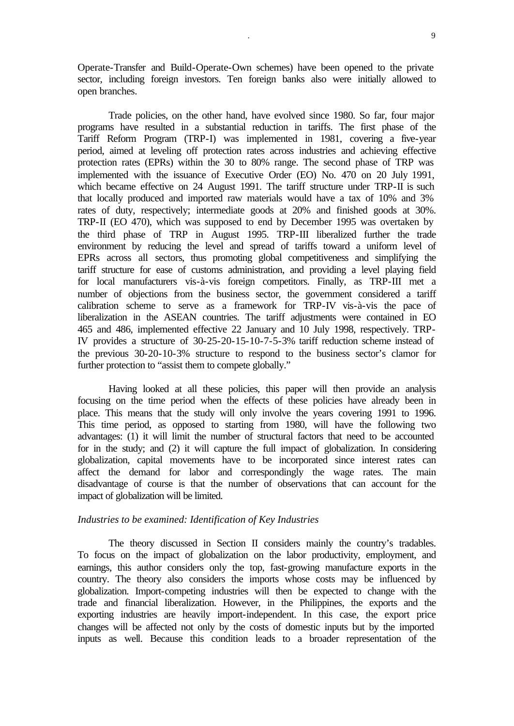Operate-Transfer and Build-Operate-Own schemes) have been opened to the private sector, including foreign investors. Ten foreign banks also were initially allowed to open branches.

Trade policies, on the other hand, have evolved since 1980. So far, four major programs have resulted in a substantial reduction in tariffs. The first phase of the Tariff Reform Program (TRP-I) was implemented in 1981, covering a five-year period, aimed at leveling off protection rates across industries and achieving effective protection rates (EPRs) within the 30 to 80% range. The second phase of TRP was implemented with the issuance of Executive Order (EO) No. 470 on 20 July 1991, which became effective on 24 August 1991. The tariff structure under TRP-II is such that locally produced and imported raw materials would have a tax of 10% and 3% rates of duty, respectively; intermediate goods at 20% and finished goods at 30%. TRP-II (EO 470), which was supposed to end by December 1995 was overtaken by the third phase of TRP in August 1995. TRP-III liberalized further the trade environment by reducing the level and spread of tariffs toward a uniform level of EPRs across all sectors, thus promoting global competitiveness and simplifying the tariff structure for ease of customs administration, and providing a level playing field for local manufacturers vis-à-vis foreign competitors. Finally, as TRP-III met a number of objections from the business sector, the government considered a tariff calibration scheme to serve as a framework for TRP-IV vis-à-vis the pace of liberalization in the ASEAN countries. The tariff adjustments were contained in EO 465 and 486, implemented effective 22 January and 10 July 1998, respectively. TRP-IV provides a structure of 30-25-20-15-10-7-5-3% tariff reduction scheme instead of the previous 30-20-10-3% structure to respond to the business sector's clamor for further protection to "assist them to compete globally."

Having looked at all these policies, this paper will then provide an analysis focusing on the time period when the effects of these policies have already been in place. This means that the study will only involve the years covering 1991 to 1996. This time period, as opposed to starting from 1980, will have the following two advantages: (1) it will limit the number of structural factors that need to be accounted for in the study; and (2) it will capture the full impact of globalization. In considering globalization, capital movements have to be incorporated since interest rates can affect the demand for labor and correspondingly the wage rates. The main disadvantage of course is that the number of observations that can account for the impact of globalization will be limited.

#### *Industries to be examined: Identification of Key Industries*

The theory discussed in Section II considers mainly the country's tradables. To focus on the impact of globalization on the labor productivity, employment, and earnings, this author considers only the top, fast-growing manufacture exports in the country. The theory also considers the imports whose costs may be influenced by globalization. Import-competing industries will then be expected to change with the trade and financial liberalization. However, in the Philippines, the exports and the exporting industries are heavily import-independent. In this case, the export price changes will be affected not only by the costs of domestic inputs but by the imported inputs as well. Because this condition leads to a broader representation of the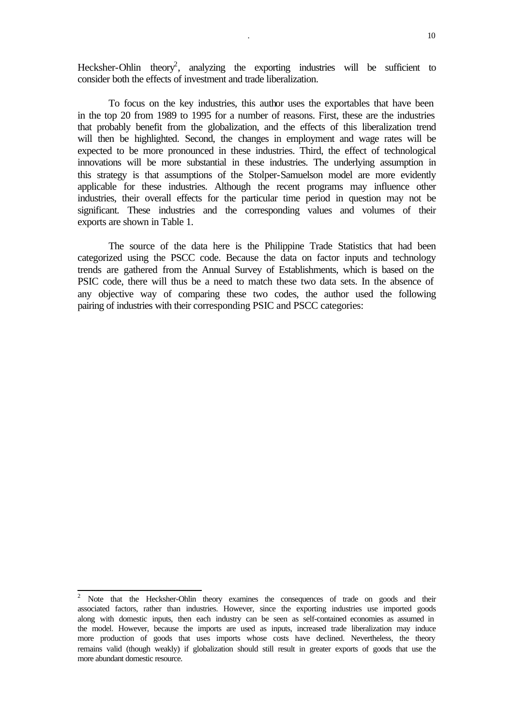Hecksher-Ohlin theory<sup>2</sup>, analyzing the exporting industries will be sufficient to consider both the effects of investment and trade liberalization.

To focus on the key industries, this author uses the exportables that have been in the top 20 from 1989 to 1995 for a number of reasons. First, these are the industries that probably benefit from the globalization, and the effects of this liberalization trend will then be highlighted. Second, the changes in employment and wage rates will be expected to be more pronounced in these industries. Third, the effect of technological innovations will be more substantial in these industries. The underlying assumption in this strategy is that assumptions of the Stolper-Samuelson model are more evidently applicable for these industries. Although the recent programs may influence other industries, their overall effects for the particular time period in question may not be significant. These industries and the corresponding values and volumes of their exports are shown in Table 1.

The source of the data here is the Philippine Trade Statistics that had been categorized using the PSCC code. Because the data on factor inputs and technology trends are gathered from the Annual Survey of Establishments, which is based on the PSIC code, there will thus be a need to match these two data sets. In the absence of any objective way of comparing these two codes, the author used the following pairing of industries with their corresponding PSIC and PSCC categories:

<sup>&</sup>lt;sup>2</sup> Note that the Hecksher-Ohlin theory examines the consequences of trade on goods and their associated factors, rather than industries. However, since the exporting industries use imported goods along with domestic inputs, then each industry can be seen as self-contained economies as assumed in the model. However, because the imports are used as inputs, increased trade liberalization may induce more production of goods that uses imports whose costs have declined. Nevertheless, the theory remains valid (though weakly) if globalization should still result in greater exports of goods that use the more abundant domestic resource.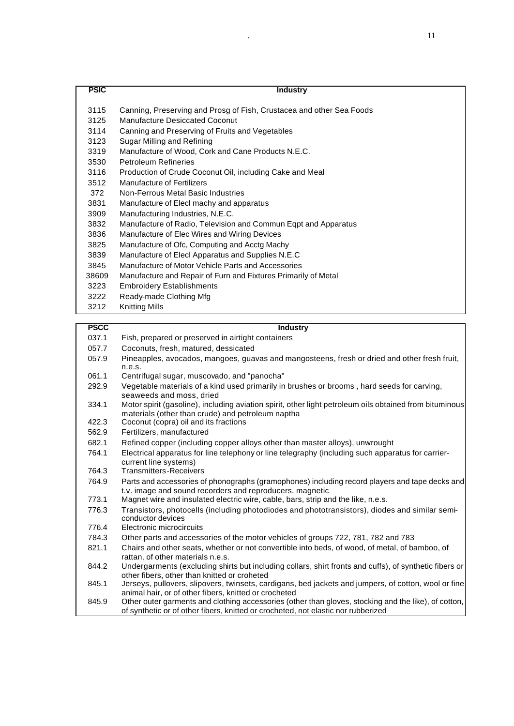| <b>PSIC</b> | <b>Industry</b>                                                      |
|-------------|----------------------------------------------------------------------|
|             |                                                                      |
| 3115        | Canning, Preserving and Prosg of Fish, Crustacea and other Sea Foods |
| 3125        | Manufacture Desiccated Coconut                                       |
| 3114        | Canning and Preserving of Fruits and Vegetables                      |
| 3123        | Sugar Milling and Refining                                           |
| 3319        | Manufacture of Wood, Cork and Cane Products N.E.C.                   |
| 3530        | <b>Petroleum Refineries</b>                                          |
| 3116        | Production of Crude Coconut Oil, including Cake and Meal             |
| 3512        | <b>Manufacture of Fertilizers</b>                                    |
| 372         | Non-Ferrous Metal Basic Industries                                   |
| 3831        | Manufacture of Elecl machy and apparatus                             |
| 3909        | Manufacturing Industries, N.E.C.                                     |
| 3832        | Manufacture of Radio, Television and Commun Eqpt and Apparatus       |
| 3836        | Manufacture of Elec Wires and Wiring Devices                         |
| 3825        | Manufacture of Ofc, Computing and Acctg Machy                        |
| 3839        | Manufacture of Elecl Apparatus and Supplies N.E.C                    |
| 3845        | Manufacture of Motor Vehicle Parts and Accessories                   |
| 38609       | Manufacture and Repair of Furn and Fixtures Primarily of Metal       |
| 3223        | <b>Embroidery Establishments</b>                                     |
| 3222        | Ready-made Clothing Mfg                                              |
| 3212        | <b>Knitting Mills</b>                                                |
| ----        |                                                                      |

| <b>PSCC</b> | <b>Industry</b>                                    |
|-------------|----------------------------------------------------|
| 037.1       | Fish, prepared or preserved in airtight containers |
| 057.7       | Coconuts, fresh, matured, dessicated               |

- 057.9 Pineapples, avocados, mangoes, guavas and mangosteens, fresh or dried and other fresh fruit, n.e.s.
- 061.1 Centrifugal sugar, muscovado, and "panocha"
- 292.9 Vegetable materials of a kind used primarily in brushes or brooms , hard seeds for carving, seaweeds and moss, dried
- 334.1 Motor spirit (gasoline), including aviation spirit, other light petroleum oils obtained from bituminous materials (other than crude) and petroleum naptha
- 422.3 Coconut (copra) oil and its fractions
- 562.9 Fertilizers, manufactured
- 682.1 Refined copper (including copper alloys other than master alloys), unwrought
- 764.1 Electrical apparatus for line telephony or line telegraphy (including such apparatus for carriercurrent line systems)
- 764.3 Transmitters-Receivers
- 764.9 Parts and accessories of phonographs (gramophones) including record players and tape decks and t.v. image and sound recorders and reproducers, magnetic
- 773.1 Magnet wire and insulated electric wire, cable, bars, strip and the like, n.e.s.
- 776.3 Transistors, photocells (including photodiodes and phototransistors), diodes and similar semiconductor devices
- 776.4 Electronic microcircuits
- 784.3 Other parts and accessories of the motor vehicles of groups 722, 781, 782 and 783
- 821.1 Chairs and other seats, whether or not convertible into beds, of wood, of metal, of bamboo, of rattan, of other materials n.e.s.
- 844.2 Undergarments (excluding shirts but including collars, shirt fronts and cuffs), of synthetic fibers or other fibers, other than knitted or croheted
- 845.1 Jerseys, pullovers, slipovers, twinsets, cardigans, bed jackets and jumpers, of cotton, wool or fine animal hair, or of other fibers, knitted or crocheted
- 845.9 Other outer garments and clothing accessories (other than gloves, stocking and the like), of cotton, of synthetic or of other fibers, knitted or crocheted, not elastic nor rubberized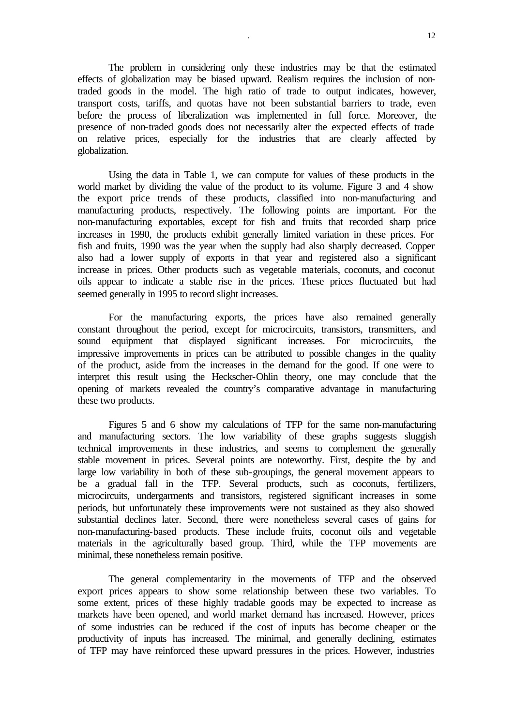The problem in considering only these industries may be that the estimated effects of globalization may be biased upward. Realism requires the inclusion of nontraded goods in the model. The high ratio of trade to output indicates, however, transport costs, tariffs, and quotas have not been substantial barriers to trade, even before the process of liberalization was implemented in full force. Moreover, the presence of non-traded goods does not necessarily alter the expected effects of trade on relative prices, especially for the industries that are clearly affected by globalization.

Using the data in Table 1, we can compute for values of these products in the world market by dividing the value of the product to its volume. Figure 3 and 4 show the export price trends of these products, classified into non-manufacturing and manufacturing products, respectively. The following points are important. For the non-manufacturing exportables, except for fish and fruits that recorded sharp price increases in 1990, the products exhibit generally limited variation in these prices. For fish and fruits, 1990 was the year when the supply had also sharply decreased. Copper also had a lower supply of exports in that year and registered also a significant increase in prices. Other products such as vegetable materials, coconuts, and coconut oils appear to indicate a stable rise in the prices. These prices fluctuated but had seemed generally in 1995 to record slight increases.

For the manufacturing exports, the prices have also remained generally constant throughout the period, except for microcircuits, transistors, transmitters, and sound equipment that displayed significant increases. For microcircuits, the impressive improvements in prices can be attributed to possible changes in the quality of the product, aside from the increases in the demand for the good. If one were to interpret this result using the Heckscher-Ohlin theory, one may conclude that the opening of markets revealed the country's comparative advantage in manufacturing these two products.

Figures 5 and 6 show my calculations of TFP for the same non-manufacturing and manufacturing sectors. The low variability of these graphs suggests sluggish technical improvements in these industries, and seems to complement the generally stable movement in prices. Several points are noteworthy. First, despite the by and large low variability in both of these sub-groupings, the general movement appears to be a gradual fall in the TFP. Several products, such as coconuts, fertilizers, microcircuits, undergarments and transistors, registered significant increases in some periods, but unfortunately these improvements were not sustained as they also showed substantial declines later. Second, there were nonetheless several cases of gains for non-manufacturing-based products. These include fruits, coconut oils and vegetable materials in the agriculturally based group. Third, while the TFP movements are minimal, these nonetheless remain positive.

The general complementarity in the movements of TFP and the observed export prices appears to show some relationship between these two variables. To some extent, prices of these highly tradable goods may be expected to increase as markets have been opened, and world market demand has increased. However, prices of some industries can be reduced if the cost of inputs has become cheaper or the productivity of inputs has increased. The minimal, and generally declining, estimates of TFP may have reinforced these upward pressures in the prices. However, industries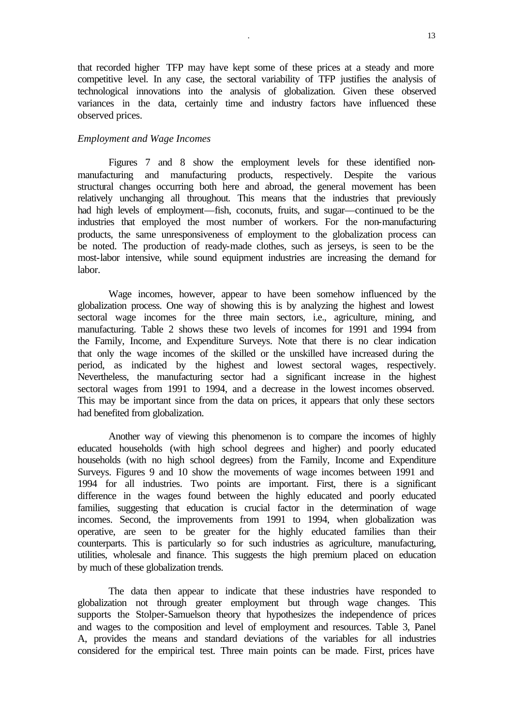that recorded higher TFP may have kept some of these prices at a steady and more competitive level. In any case, the sectoral variability of TFP justifies the analysis of technological innovations into the analysis of globalization. Given these observed variances in the data, certainly time and industry factors have influenced these observed prices.

#### *Employment and Wage Incomes*

Figures 7 and 8 show the employment levels for these identified nonmanufacturing and manufacturing products, respectively. Despite the various structural changes occurring both here and abroad, the general movement has been relatively unchanging all throughout. This means that the industries that previously had high levels of employment—fish, coconuts, fruits, and sugar—continued to be the industries that employed the most number of workers. For the non-manufacturing products, the same unresponsiveness of employment to the globalization process can be noted. The production of ready-made clothes, such as jerseys, is seen to be the most-labor intensive, while sound equipment industries are increasing the demand for labor.

Wage incomes, however, appear to have been somehow influenced by the globalization process. One way of showing this is by analyzing the highest and lowest sectoral wage incomes for the three main sectors, i.e., agriculture, mining, and manufacturing. Table 2 shows these two levels of incomes for 1991 and 1994 from the Family, Income, and Expenditure Surveys. Note that there is no clear indication that only the wage incomes of the skilled or the unskilled have increased during the period, as indicated by the highest and lowest sectoral wages, respectively. Nevertheless, the manufacturing sector had a significant increase in the highest sectoral wages from 1991 to 1994, and a decrease in the lowest incomes observed. This may be important since from the data on prices, it appears that only these sectors had benefited from globalization.

Another way of viewing this phenomenon is to compare the incomes of highly educated households (with high school degrees and higher) and poorly educated households (with no high school degrees) from the Family, Income and Expenditure Surveys. Figures 9 and 10 show the movements of wage incomes between 1991 and 1994 for all industries. Two points are important. First, there is a significant difference in the wages found between the highly educated and poorly educated families, suggesting that education is crucial factor in the determination of wage incomes. Second, the improvements from 1991 to 1994, when globalization was operative, are seen to be greater for the highly educated families than their counterparts. This is particularly so for such industries as agriculture, manufacturing, utilities, wholesale and finance. This suggests the high premium placed on education by much of these globalization trends.

The data then appear to indicate that these industries have responded to globalization not through greater employment but through wage changes. This supports the Stolper-Samuelson theory that hypothesizes the independence of prices and wages to the composition and level of employment and resources. Table 3, Panel A, provides the means and standard deviations of the variables for all industries considered for the empirical test. Three main points can be made. First, prices have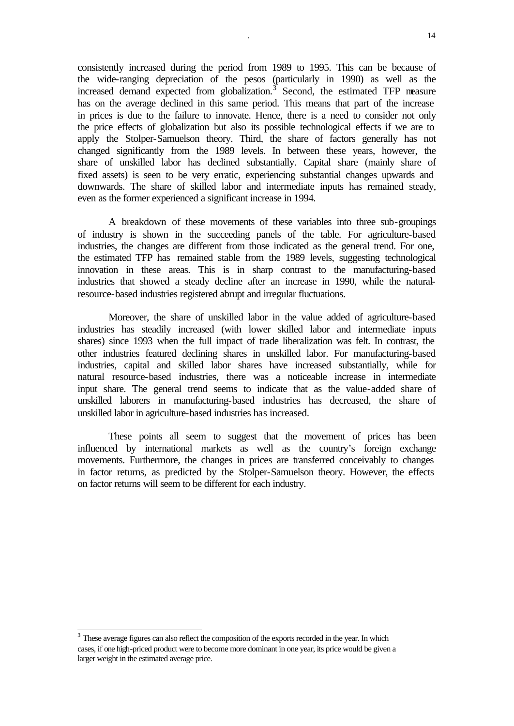consistently increased during the period from 1989 to 1995. This can be because of the wide-ranging depreciation of the pesos (particularly in 1990) as well as the increased demand expected from globalization. $3$  Second, the estimated TFP measure has on the average declined in this same period. This means that part of the increase in prices is due to the failure to innovate. Hence, there is a need to consider not only the price effects of globalization but also its possible technological effects if we are to apply the Stolper-Samuelson theory. Third, the share of factors generally has not changed significantly from the 1989 levels. In between these years, however, the share of unskilled labor has declined substantially. Capital share (mainly share of fixed assets) is seen to be very erratic, experiencing substantial changes upwards and downwards. The share of skilled labor and intermediate inputs has remained steady, even as the former experienced a significant increase in 1994.

A breakdown of these movements of these variables into three sub-groupings of industry is shown in the succeeding panels of the table. For agriculture-based industries, the changes are different from those indicated as the general trend. For one, the estimated TFP has remained stable from the 1989 levels, suggesting technological innovation in these areas. This is in sharp contrast to the manufacturing-based industries that showed a steady decline after an increase in 1990, while the naturalresource-based industries registered abrupt and irregular fluctuations.

Moreover, the share of unskilled labor in the value added of agriculture-based industries has steadily increased (with lower skilled labor and intermediate inputs shares) since 1993 when the full impact of trade liberalization was felt. In contrast, the other industries featured declining shares in unskilled labor. For manufacturing-based industries, capital and skilled labor shares have increased substantially, while for natural resource-based industries, there was a noticeable increase in intermediate input share. The general trend seems to indicate that as the value-added share of unskilled laborers in manufacturing-based industries has decreased, the share of unskilled labor in agriculture-based industries has increased.

These points all seem to suggest that the movement of prices has been influenced by international markets as well as the country's foreign exchange movements. Furthermore, the changes in prices are transferred conceivably to changes in factor returns, as predicted by the Stolper-Samuelson theory. However, the effects on factor returns will seem to be different for each industry.

l

 $3$  These average figures can also reflect the composition of the exports recorded in the year. In which cases, if one high-priced product were to become more dominant in one year, its price would be given a larger weight in the estimated average price.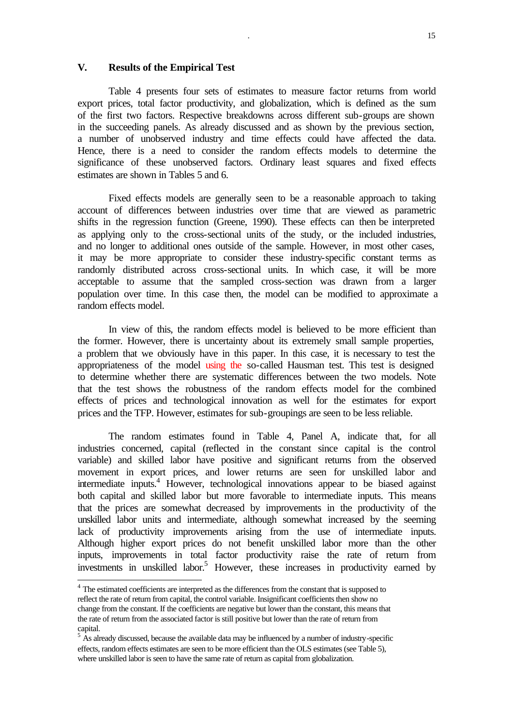#### **V. Results of the Empirical Test**

Table 4 presents four sets of estimates to measure factor returns from world export prices, total factor productivity, and globalization, which is defined as the sum of the first two factors. Respective breakdowns across different sub-groups are shown in the succeeding panels. As already discussed and as shown by the previous section, a number of unobserved industry and time effects could have affected the data. Hence, there is a need to consider the random effects models to determine the significance of these unobserved factors. Ordinary least squares and fixed effects estimates are shown in Tables 5 and 6.

Fixed effects models are generally seen to be a reasonable approach to taking account of differences between industries over time that are viewed as parametric shifts in the regression function (Greene, 1990). These effects can then be interpreted as applying only to the cross-sectional units of the study, or the included industries, and no longer to additional ones outside of the sample. However, in most other cases, it may be more appropriate to consider these industry-specific constant terms as randomly distributed across cross-sectional units. In which case, it will be more acceptable to assume that the sampled cross-section was drawn from a larger population over time. In this case then, the model can be modified to approximate a random effects model.

In view of this, the random effects model is believed to be more efficient than the former. However, there is uncertainty about its extremely small sample properties, a problem that we obviously have in this paper. In this case, it is necessary to test the appropriateness of the model using the so-called Hausman test. This test is designed to determine whether there are systematic differences between the two models. Note that the test shows the robustness of the random effects model for the combined effects of prices and technological innovation as well for the estimates for export prices and the TFP. However, estimates for sub-groupings are seen to be less reliable.

The random estimates found in Table 4, Panel A, indicate that, for all industries concerned, capital (reflected in the constant since capital is the control variable) and skilled labor have positive and significant returns from the observed movement in export prices, and lower returns are seen for unskilled labor and intermediate inputs.<sup>4</sup> However, technological innovations appear to be biased against both capital and skilled labor but more favorable to intermediate inputs. This means that the prices are somewhat decreased by improvements in the productivity of the unskilled labor units and intermediate, although somewhat increased by the seeming lack of productivity improvements arising from the use of intermediate inputs. Although higher export prices do not benefit unskilled labor more than the other inputs, improvements in total factor productivity raise the rate of return from investments in unskilled labor.<sup>5</sup> However, these increases in productivity earned by

l

<sup>&</sup>lt;sup>4</sup> The estimated coefficients are interpreted as the differences from the constant that is supposed to reflect the rate of return from capital, the control variable. Insignificant coefficients then show no change from the constant. If the coefficients are negative but lower than the constant, this means that the rate of return from the associated factor is still positive but lower than the rate of return from capital.

 $5 \text{ Ås already discussed, because the available data may be influenced by a number of industry-specific.}$ effects, random effects estimates are seen to be more efficient than the OLS estimates (see Table 5), where unskilled labor is seen to have the same rate of return as capital from globalization.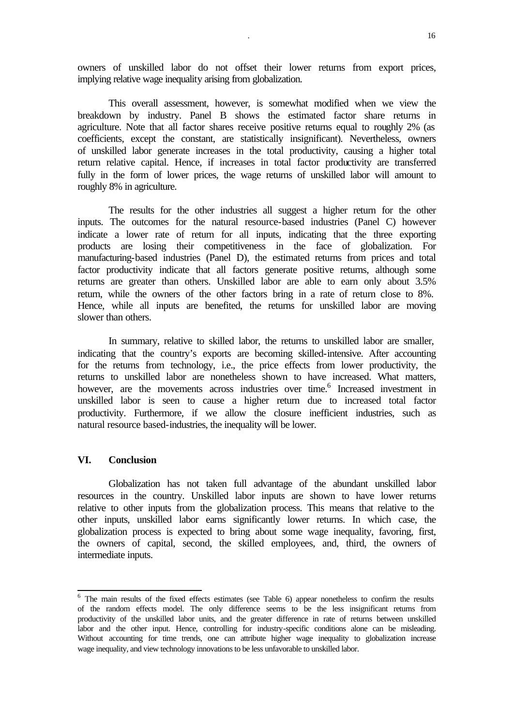owners of unskilled labor do not offset their lower returns from export prices, implying relative wage inequality arising from globalization.

This overall assessment, however, is somewhat modified when we view the breakdown by industry. Panel B shows the estimated factor share returns in agriculture. Note that all factor shares receive positive returns equal to roughly 2% (as coefficients, except the constant, are statistically insignificant). Nevertheless, owners of unskilled labor generate increases in the total productivity, causing a higher total return relative capital. Hence, if increases in total factor productivity are transferred fully in the form of lower prices, the wage returns of unskilled labor will amount to roughly 8% in agriculture.

The results for the other industries all suggest a higher return for the other inputs. The outcomes for the natural resource-based industries (Panel C) however indicate a lower rate of return for all inputs, indicating that the three exporting products are losing their competitiveness in the face of globalization. For manufacturing-based industries (Panel D), the estimated returns from prices and total factor productivity indicate that all factors generate positive returns, although some returns are greater than others. Unskilled labor are able to earn only about 3.5% return, while the owners of the other factors bring in a rate of return close to 8%. Hence, while all inputs are benefited, the returns for unskilled labor are moving slower than others.

In summary, relative to skilled labor, the returns to unskilled labor are smaller, indicating that the country's exports are becoming skilled-intensive. After accounting for the returns from technology, i.e., the price effects from lower productivity, the returns to unskilled labor are nonetheless shown to have increased. What matters, however, are the movements across industries over time.<sup>6</sup> Increased investment in unskilled labor is seen to cause a higher return due to increased total factor productivity. Furthermore, if we allow the closure inefficient industries, such as natural resource based-industries, the inequality will be lower.

#### **VI. Conclusion**

Globalization has not taken full advantage of the abundant unskilled labor resources in the country. Unskilled labor inputs are shown to have lower returns relative to other inputs from the globalization process. This means that relative to the other inputs, unskilled labor earns significantly lower returns. In which case, the globalization process is expected to bring about some wage inequality, favoring, first, the owners of capital, second, the skilled employees, and, third, the owners of intermediate inputs.

<sup>&</sup>lt;sup>6</sup> The main results of the fixed effects estimates (see Table 6) appear nonetheless to confirm the results of the random effects model. The only difference seems to be the less insignificant returns from productivity of the unskilled labor units, and the greater difference in rate of returns between unskilled labor and the other input. Hence, controlling for industry-specific conditions alone can be misleading. Without accounting for time trends, one can attribute higher wage inequality to globalization increase wage inequality, and view technology innovations to be less unfavorable to unskilled labor.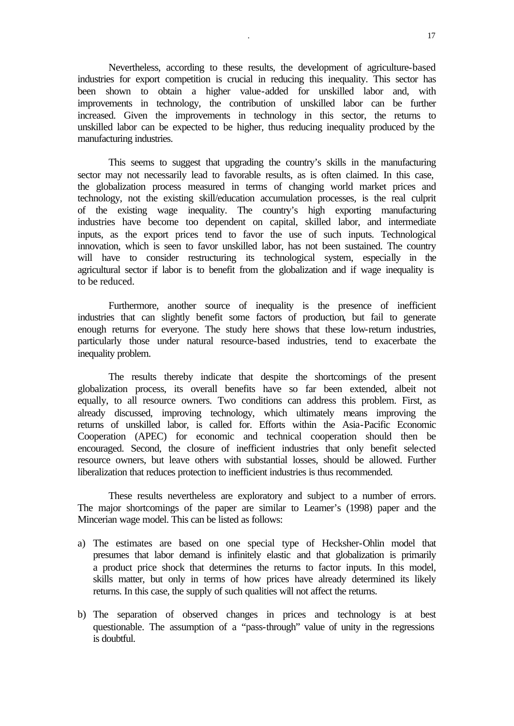Nevertheless, according to these results, the development of agriculture-based industries for export competition is crucial in reducing this inequality. This sector has been shown to obtain a higher value-added for unskilled labor and, with improvements in technology, the contribution of unskilled labor can be further increased. Given the improvements in technology in this sector, the returns to unskilled labor can be expected to be higher, thus reducing inequality produced by the manufacturing industries.

This seems to suggest that upgrading the country's skills in the manufacturing sector may not necessarily lead to favorable results, as is often claimed. In this case, the globalization process measured in terms of changing world market prices and technology, not the existing skill/education accumulation processes, is the real culprit of the existing wage inequality. The country's high exporting manufacturing industries have become too dependent on capital, skilled labor, and intermediate inputs, as the export prices tend to favor the use of such inputs. Technological innovation, which is seen to favor unskilled labor, has not been sustained. The country will have to consider restructuring its technological system, especially in the agricultural sector if labor is to benefit from the globalization and if wage inequality is to be reduced.

Furthermore, another source of inequality is the presence of inefficient industries that can slightly benefit some factors of production, but fail to generate enough returns for everyone. The study here shows that these low-return industries, particularly those under natural resource-based industries, tend to exacerbate the inequality problem.

The results thereby indicate that despite the shortcomings of the present globalization process, its overall benefits have so far been extended, albeit not equally, to all resource owners. Two conditions can address this problem. First, as already discussed, improving technology, which ultimately means improving the returns of unskilled labor, is called for. Efforts within the Asia-Pacific Economic Cooperation (APEC) for economic and technical cooperation should then be encouraged. Second, the closure of inefficient industries that only benefit selected resource owners, but leave others with substantial losses, should be allowed. Further liberalization that reduces protection to inefficient industries is thus recommended.

These results nevertheless are exploratory and subject to a number of errors. The major shortcomings of the paper are similar to Leamer's (1998) paper and the Mincerian wage model. This can be listed as follows:

- a) The estimates are based on one special type of Hecksher-Ohlin model that presumes that labor demand is infinitely elastic and that globalization is primarily a product price shock that determines the returns to factor inputs. In this model, skills matter, but only in terms of how prices have already determined its likely returns. In this case, the supply of such qualities will not affect the returns.
- b) The separation of observed changes in prices and technology is at best questionable. The assumption of a "pass-through" value of unity in the regressions is doubtful.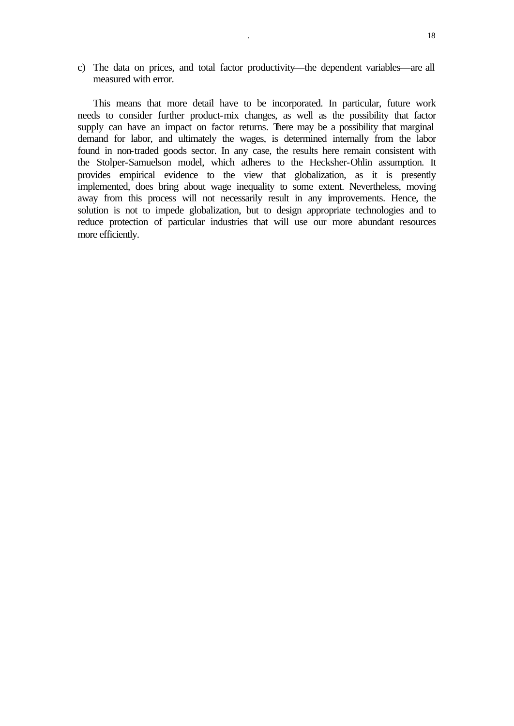c) The data on prices, and total factor productivity—the dependent variables—are all measured with error.

This means that more detail have to be incorporated. In particular, future work needs to consider further product-mix changes, as well as the possibility that factor supply can have an impact on factor returns. There may be a possibility that marginal demand for labor, and ultimately the wages, is determined internally from the labor found in non-traded goods sector. In any case, the results here remain consistent with the Stolper-Samuelson model, which adheres to the Hecksher-Ohlin assumption. It provides empirical evidence to the view that globalization, as it is presently implemented, does bring about wage inequality to some extent. Nevertheless, moving away from this process will not necessarily result in any improvements. Hence, the solution is not to impede globalization, but to design appropriate technologies and to reduce protection of particular industries that will use our more abundant resources more efficiently.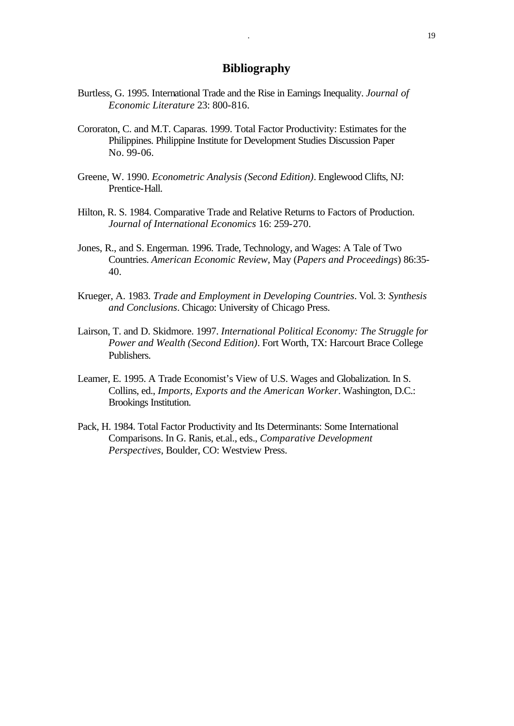### **Bibliography**

- Burtless, G. 1995. International Trade and the Rise in Earnings Inequality. *Journal of Economic Literature* 23: 800-816.
- Cororaton, C. and M.T. Caparas. 1999. Total Factor Productivity: Estimates for the Philippines. Philippine Institute for Development Studies Discussion Paper No. 99-06.
- Greene, W. 1990. *Econometric Analysis (Second Edition)*. Englewood Clifts, NJ: Prentice-Hall.
- Hilton, R. S. 1984. Comparative Trade and Relative Returns to Factors of Production. *Journal of International Economics* 16: 259-270.
- Jones, R., and S. Engerman. 1996. Trade, Technology, and Wages: A Tale of Two Countries. *American Economic Review*, May (*Papers and Proceedings*) 86:35- 40.
- Krueger, A. 1983. *Trade and Employment in Developing Countries*. Vol. 3: *Synthesis and Conclusions*. Chicago: University of Chicago Press.
- Lairson, T. and D. Skidmore. 1997. *International Political Economy: The Struggle for Power and Wealth (Second Edition)*. Fort Worth, TX: Harcourt Brace College Publishers.
- Leamer, E. 1995. A Trade Economist's View of U.S. Wages and Globalization. In S. Collins, ed., *Imports, Exports and the American Worker*. Washington, D.C.: Brookings Institution.
- Pack, H. 1984. Total Factor Productivity and Its Determinants: Some International Comparisons. In G. Ranis, et.al., eds., *Comparative Development Perspectives*, Boulder, CO: Westview Press.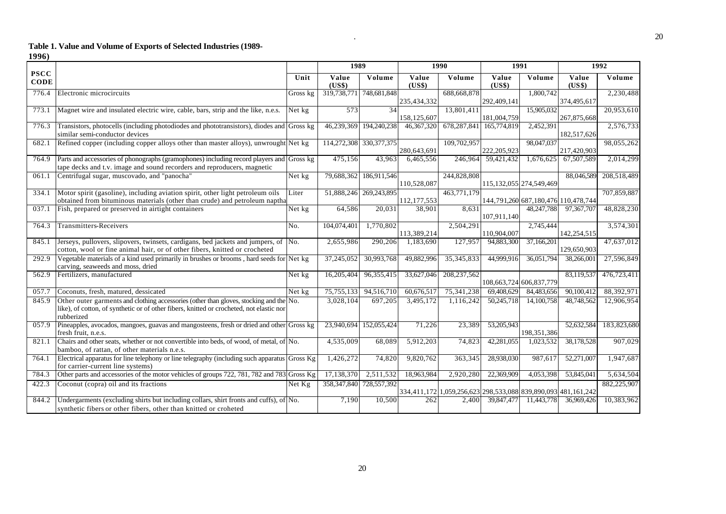#### **Table 1. Value and Volume of Exports of Selected Industries (1989-**

**1996)**

|                            |                                                                                                                                                                                                  |          | 1989            |                         | <b>1990</b>     |                                                               | 1991            |                                     | $\frac{1992}{ }$ |             |
|----------------------------|--------------------------------------------------------------------------------------------------------------------------------------------------------------------------------------------------|----------|-----------------|-------------------------|-----------------|---------------------------------------------------------------|-----------------|-------------------------------------|------------------|-------------|
| <b>PSCC</b><br><b>CODE</b> |                                                                                                                                                                                                  | Unit     | Value<br>(US\$) | Volume                  | Value<br>(US\$) | Volume                                                        | Value<br>(US\$) | Volume                              | Value<br>(US\$)  | Volume      |
| 776.4                      | Electronic microcircuits                                                                                                                                                                         | Gross kg | 319,738,771     | 748,681,848             | 235,434,332     | 688,668,878                                                   | 292,409,141     | 1,800,742                           | 374,495,617      | 2,230,488   |
| 773.1                      | Magnet wire and insulated electric wire, cable, bars, strip and the like, n.e.s.                                                                                                                 | Net kg   | 573             | 34                      | 158,125,607     | 13,801,411                                                    | 181,004,759     | 15.905.032                          | 267,875,668      | 20,953,610  |
| 776.3                      | Transistors, photocells (including photodiodes and phototransistors), diodes and Gross kg<br>similar semi-conductor devices                                                                      |          |                 | 46,239,369 194,240,238  | 46, 367, 320    | 678,287,841                                                   | 165,774,819     | 2.452.391                           | 182,517,626      | 2,576,733   |
| 682.1                      | Refined copper (including copper alloys other than master alloys), unwrought Net kg                                                                                                              |          |                 | 114,272,308 330,377,375 | 280,643,691     | 109,702,957                                                   | 222,205,923     | 98,047,037                          | 217,420,903      | 98,055,262  |
| 764.9                      | Parts and accessories of phonographs (gramophones) including record players and Gross kg<br>tape decks and t.v. image and sound recorders and reproducers, magnetic                              |          | 475,156         | 43,963                  | 6,465,556       | 246,964                                                       | 59,421,432      | 1,676,625                           | 67,507,589       | 2,014,299   |
| 061.1                      | Centrifugal sugar, muscovado, and "panocha"                                                                                                                                                      | Net kg   | 79,688,362      | 186,911,546             | 110,528,087     | 244,828,808                                                   |                 | 115, 132, 055 274, 549, 469         | 88,046,589       | 208,518,489 |
| 334.1                      | Motor spirit (gasoline), including aviation spirit, other light petroleum oils<br>obtained from bituminous materials (other than crude) and petroleum naptha                                     | Liter    |                 | 51,888,246 269,243,895  | 112, 177, 553   | 463,771,179                                                   |                 | 144,791,260 687,180,476 110,478,744 |                  | 707,859,887 |
| 037.1                      | Fish, prepared or preserved in airtight containers                                                                                                                                               | Net kg   | 64,586          | 20.031                  | 38,901          | 8.631                                                         | 107,911,140     | 48,247,788                          | 97,367,707       | 48,828,230  |
| 764.3                      | <b>Transmitters-Receivers</b>                                                                                                                                                                    | No.      | 104,074,401     | 1,770,802               | 113,389,214     | 2,504,291                                                     | 110,904,007     | 2,745,444                           | 142,254,515      | 3,574,301   |
| 845.1                      | Jerseys, pullovers, slipovers, twinsets, cardigans, bed jackets and jumpers, of<br>cotton, wool or fine animal hair, or of other fibers, knitted or crocheted                                    | No.      | 2,655,986       | 290,206                 | 1,183,690       | 127,957                                                       | 94,883,300      | 37,166,201                          | 129,650,903      | 47,637,012  |
| 292.9                      | Vegetable materials of a kind used primarily in brushes or brooms, hard seeds for Net kg<br>carving, seaweeds and moss, dried                                                                    |          | 37,245,052      | 30,993,768              | 49,882,996      | 35, 345, 833                                                  | 44,999,916      | 36,051,794                          | 38,266,00        | 27,596,849  |
| 562.9                      | Fertilizers, manufactured                                                                                                                                                                        | Net kg   | 16,205,404      | 96,355,415              | 33,627,046      | 208, 237, 562                                                 |                 | 108,663,724 606,837,779             | 83,119,537       | 476,723,411 |
| 057.7                      | Coconuts, fresh, matured, dessicated                                                                                                                                                             | Net kg   | 75,755,133      | 94,516,710              | 60,676,517      | 75,341,238                                                    | 69,408,629      | 84,483,656                          | 90,100,412       | 88,392,971  |
| 845.9                      | Other outer garments and clothing accessories (other than gloves, stocking and the No.<br>like), of cotton, of synthetic or of other fibers, knitted or crocheted, not elastic nor<br>rubberized |          | 3,028,104       | 697,205                 | 3,495,172       | 1,116,242                                                     | 50,245,718      | 14,100,758                          | 48,748,562       | 12,906,954  |
| 057.9                      | Pineapples, avocados, mangoes, guavas and mangosteens, fresh or dried and other Gross kg<br>fresh fruit, n.e.s.                                                                                  |          |                 | 23,940,694 152,055,424  | 71,226          | 23,389                                                        | 53,205,943      | 198,351,386                         | 52,632,584       | 183,823,680 |
| 821.1                      | Chairs and other seats, whether or not convertible into beds, of wood, of metal, of No.<br>bamboo, of rattan, of other materials n.e.s.                                                          |          | 4,535,009       | 68,089                  | 5,912,203       | 74,823                                                        | 42,281,055      | 1,023,532                           | 38,178,528       | 907,029     |
| 764.1                      | Electrical apparatus for line telephony or line telegraphy (including such apparatus Gross Kg<br>for carrier-current line systems)                                                               |          | 1,426,272       | 74,820                  | 9,820,762       | 363,345                                                       | 28,938,030      | 987,617                             | 52,271,007       | 1,947,687   |
| 784.3                      | Other parts and accessories of the motor vehicles of groups 722, 781, 782 and 783 Gross Kg                                                                                                       |          | 17,138,370      | 2,511,532               | 18,963,984      | 2,920,280                                                     | 22,369,909      | 4,053,398                           | 53,845,041       | 5,634,504   |
| 422.3                      | Coconut (copra) oil and its fractions                                                                                                                                                            | Net Kg   | 358,347,840     | 728,557,392             |                 | 334,411,172 1,059,256,623 298,533,088 839,890,093 481,161,242 |                 |                                     |                  | 882,225,907 |
| 844.2                      | Undergarments (excluding shirts but including collars, shirt fronts and cuffs), of No.<br>synthetic fibers or other fibers, other than knitted or croheted                                       |          | 7,190           | 10,500                  | 262             | 2,400                                                         | 39,847,477      | 11,443,778                          | 36,969,426       | 10,383,962  |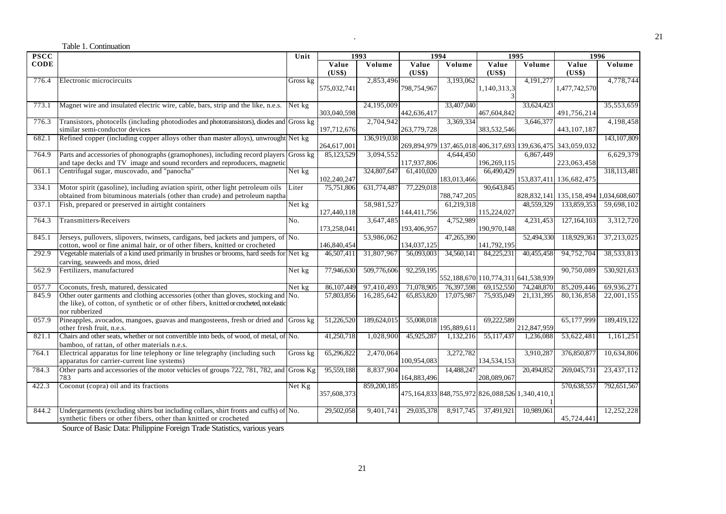|             | Table 1. Continuation                                                                                                                                                                            |          |                 |             |                 |             |                                                 |             |                                                             |               |
|-------------|--------------------------------------------------------------------------------------------------------------------------------------------------------------------------------------------------|----------|-----------------|-------------|-----------------|-------------|-------------------------------------------------|-------------|-------------------------------------------------------------|---------------|
| <b>PSCC</b> |                                                                                                                                                                                                  | Unit     |                 | 1993        | 1994            |             |                                                 | 1995        | 1996                                                        |               |
| <b>CODE</b> |                                                                                                                                                                                                  |          | Value<br>(US\$) | Volume      | Value<br>(US\$) | Volume      | Value<br>(US\$)                                 | Volume      | Value<br>(US\$)                                             | Volume        |
| 776.4       | Electronic microcircuits                                                                                                                                                                         | Gross kg | 575,032,741     | 2,853,496   | 798,754,967     | 3,193,062   | 1,140,313,3                                     | 4,191,277   | 1,477,742,570                                               | 4,778,744     |
| 773.1       | Magnet wire and insulated electric wire, cable, bars, strip and the like, n.e.s.                                                                                                                 | Net kg   | 303,040,598     | 24.195.009  | 442,636,417     | 33,407,040  | 467,604,842                                     | 33,624,423  | 491,756,214                                                 | 35,553,659    |
| 776.3       | Transistors, photocells (including photodiodes and phototransistors), diodes and Gross kg<br>similar semi-conductor devices                                                                      |          | 197,712,676     | 2,704,942   | 263,779,728     | 3,369,334   | 383,532,546                                     | 3,646,377   | 443, 107, 187                                               | 4,198,458     |
| 682.1       | Refined copper (including copper alloys other than master alloys), unwrought Net kg                                                                                                              |          | 264,617,001     | 136,919,038 |                 |             |                                                 |             | 269,894,979 137,465,018 406,317,693 139,636,475 343,059,032 | 143, 107, 809 |
| 764.9       | Parts and accessories of phonographs (gramophones), including record players Gross kg<br>and tape decks and TV image and sound recorders and reproducers, magnetic                               |          | 85,123,529      | 3,094,552   | 117,937,806     | 4,644,450   | 196,269,115                                     | 6,867,449   | 223,063,458                                                 | 6,629,379     |
| 061.1       | Centrifugal sugar, muscovado, and "panocha"                                                                                                                                                      | Net kg   | 102,240,247     | 324,807,647 | 61,410,020      | 183,013,466 | 66,490,429                                      |             | 153,837,411 136,682,475                                     | 318,113,481   |
| 334.1       | Motor spirit (gasoline), including aviation spirit, other light petroleum oils<br>obtained from bituminous materials (other than crude) and petroleum naptha                                     | Liter    | 75,751,806      | 631,774,487 | 77,229,018      | 788,747,205 | 90.643.845                                      |             | 828, 832, 141   135, 158, 494   1, 034, 608, 607            |               |
| 037.1       | Fish, prepared or preserved in airtight containers                                                                                                                                               | Net kg   | 127,440,118     | 58,981,527  | 144,411,756     | 61,219,318  | 115,224,027                                     | 48,559,329  | 133,859,353                                                 | 59,698,102    |
| 764.3       | Transmitters-Receivers                                                                                                                                                                           | No.      | 173,258,041     | 3,647,485   | 193,406,957     | 4,752,989   | 190,970,148                                     | 4,231,453   | 127, 164, 103                                               | 3,312,720     |
| 845.1       | Jerseys, pullovers, slipovers, twinsets, cardigans, bed jackets and jumpers, of No.<br>cotton, wool or fine animal hair, or of other fibers, knitted or crocheted                                |          | 146,840,454     | 53,986,062  | 134,037,125     | 47,265,390  | 141,792,195                                     | 52,494,330  | 118,929,361                                                 | 37,213,025    |
| 292.9       | Vegetable materials of a kind used primarily in brushes or brooms, hard seeds for Net kg<br>carving, seaweeds and moss, dried                                                                    |          | 46,507,411      | 31,807,967  | 56,093,003      | 34,560,141  | 84,225,231                                      | 40,455,458  | 94,752,704                                                  | 38,533,813    |
| 562.9       | Fertilizers, manufactured                                                                                                                                                                        | Net kg   | 77,946,630      | 509,776,606 | 92,259,195      |             | 552,188,670 110,774,311 641,538,939             |             | 90,750,089                                                  | 530,921,613   |
| 057.7       | Coconuts, fresh, matured, dessicated                                                                                                                                                             | Net kg   | 86,107,449      | 97,410,493  | 71,078,905      | 76,397,598  | 69,152,550                                      | 74,248,870  | 85,209,446                                                  | 69,936,271    |
| 845.9       | Other outer garments and clothing accessories (other than gloves, stocking and No.<br>the like), of cotton, of synthetic or of other fibers, knitted or crocheted, not elastic<br>nor rubberized |          | 57,803,856      | 16,285,642  | 65,853,820      | 17,075,987  | 75,935,049                                      | 21,131,395  | 80,136,858                                                  | 22,001,155    |
| 057.9       | Pineapples, avocados, mangoes, guavas and mangosteens, fresh or dried and Gross kg<br>other fresh fruit, n.e.s.                                                                                  |          | 51,226,520      | 189,624,015 | 55,008,018      | 195,889,611 | 69,222,589                                      | 212,847,959 | 65,177,999                                                  | 189,419,122   |
| 821.1       | Chairs and other seats, whether or not convertible into beds, of wood, of metal, of No.<br>bamboo, of rattan, of other materials n.e.s.                                                          |          | 41,250,718      | 1,028,900   | 45,925,287      | 1,132,216   | 55,117,437                                      | 1,236,088   | 53,622,481                                                  | 1,161,251     |
| 764.1       | Electrical apparatus for line telephony or line telegraphy (including such<br>apparatus for carrier-current line systems)                                                                        | Gross kg | 65,296,822      | 2,470,064   | 100,954,083     | 3,272,782   | 134,534,153                                     | 3,910,287   | 376,850,877                                                 | 10,634,806    |
| 784.3       | Other parts and accessories of the motor vehicles of groups 722, 781, 782, and Gross Kg<br>783                                                                                                   |          | 95,559,188      | 8,837,904   | 164,883,496     | 14,488,247  | 208,089,067                                     | 20,494,852  | 269,045,73                                                  | 23,437,112    |
| 422.3       | Coconut (copra) oil and its fractions                                                                                                                                                            | Net Kg   | 357,608,373     | 859,200,185 |                 |             | 475,164,833 848,755,972 826,088,526 1,340,410,1 |             | 570,638,557                                                 | 792,651,567   |
| 844.2       | Undergarments (excluding shirts but including collars, shirt fronts and cuffs) of No.<br>synthetic fibers or other fibers, other than knitted or crocheted                                       |          | 29,502,058      | 9,401,741   | 29,035,378      | 8,917,745   | 37,491,921                                      | 10,989,061  | 45,724,441                                                  | 12,252,228    |

Source of Basic Data: Philippine Foreign Trade Statistics, various years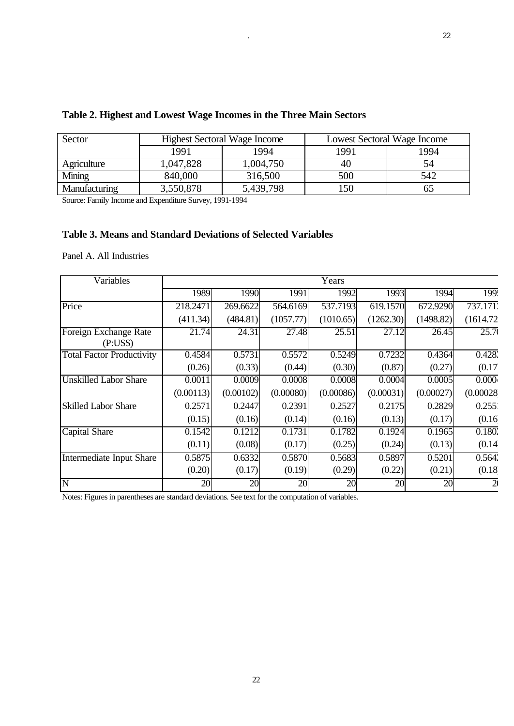| Sector        |           | <b>Highest Sectoral Wage Income</b> | <b>Lowest Sectoral Wage Income</b> |      |  |
|---------------|-----------|-------------------------------------|------------------------------------|------|--|
|               | 1991      | 1994                                | 1991                               | 1994 |  |
| Agriculture   | 1,047,828 | 1,004,750                           | 40                                 | 54   |  |
| Mining        | 840,000   | 316,500                             | 500                                | 542  |  |
| Manufacturing | 3,550,878 | 5,439,798                           | 150                                |      |  |

## **Table 2. Highest and Lowest Wage Incomes in the Three Main Sectors**

Source: Family Income and Expenditure Survey, 1991-1994

### **Table 3. Means and Standard Deviations of Selected Variables**

Panel A. All Industries

| Variables                         |           |           |                     | Years     |           |           |                    |
|-----------------------------------|-----------|-----------|---------------------|-----------|-----------|-----------|--------------------|
|                                   | 1989      | 1990      | 1991                | 1992      | 1993      | 1994      | 199.               |
| Price                             | 218.2471  | 269.6622  | 564.6169            | 537.7193  | 619.1570  | 672.9290  | 737.171.           |
|                                   | (411.34)  | (484.81)  | (1057.77)           | (1010.65) | (1262.30) | (1498.82) | (1614.72)          |
| Foreign Exchange Rate<br>(P:US\$) | 21.74     | 24.31     | 27.48               | 25.51     | 27.12     | 26.45     | $\overline{25.70}$ |
| <b>Total Factor Productivity</b>  | 0.4584    | 0.5731    | 0.5572              | 0.5249    | 0.7232    | 0.4364    | 0.428              |
|                                   | (0.26)    | (0.33)    | (0.44)              | (0.30)    | (0.87)    | (0.27)    | (0.17)             |
| <b>Unskilled Labor Share</b>      | 0.0011    | 0.0009    | 0.0008              | 0.0008    | 0.0004    | 0.0005    | 0.000 <sub>k</sub> |
|                                   | (0.00113) | (0.00102) | (0.00080)           | (0.00086) | (0.00031) | (0.00027) | (0.00028)          |
| <b>Skilled Labor Share</b>        | 0.2571    | 0.2447    | 0.2391              | 0.2527    | 0.2175    | 0.2829    | 0.255              |
|                                   | (0.15)    | (0.16)    | (0.14)              | (0.16)    | (0.13)    | (0.17)    | (0.16)             |
| Capital Share                     | 0.1542    | 0.1212    | $0.1\overline{731}$ | 0.1782    | 0.1924    | 0.1965    | 0.1802             |
|                                   | (0.11)    | (0.08)    | (0.17)              | (0.25)    | (0.24)    | (0.13)    | (0.14)             |
| Intermediate Input Share          | 0.5875    | 0.6332    | 0.5870              | 0.5683    | 0.5897    | 0.5201    | 0.564'             |
|                                   | (0.20)    | (0.17)    | (0.19)              | (0.29)    | (0.22)    | (0.21)    | (0.18)             |
| $\overline{\rm N}$                | 20        | 20        | 20                  | 20        | 20        | 20        | $\overline{2}$     |

Notes: Figures in parentheses are standard deviations. See text for the computation of variables.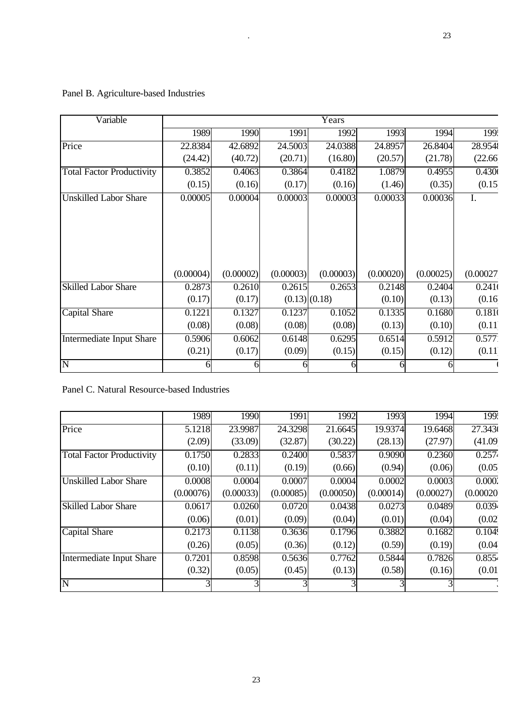| Variable                         | Years     |           |           |                   |           |           |                    |
|----------------------------------|-----------|-----------|-----------|-------------------|-----------|-----------|--------------------|
|                                  | 1989      | 1990      | 1991      | 1992              | 1993      | 1994      | $\overline{199}$ . |
| Price                            | 22.8384   | 42.6892   | 24.5003   | 24.0388           | 24.8957   | 26.8404   | 28.954             |
|                                  | (24.42)   | (40.72)   | (20.71)   | (16.80)           | (20.57)   | (21.78)   | (22.66)            |
| <b>Total Factor Productivity</b> | 0.3852    | 0.4063    | 0.3864    | 0.4182            | 1.0879    | 0.4955    | 0.430(             |
|                                  | (0.15)    | (0.16)    | (0.17)    | (0.16)            | (1.46)    | (0.35)    | (0.15)             |
| <b>Unskilled Labor Share</b>     | 0.00005   | 0.00004   | 0.00003   | 0.00003           | 0.00033   | 0.00036   | I.                 |
|                                  |           |           |           |                   |           |           |                    |
|                                  |           |           |           |                   |           |           |                    |
|                                  |           |           |           |                   |           |           |                    |
|                                  |           |           |           |                   |           |           |                    |
|                                  |           |           |           |                   |           |           |                    |
|                                  | (0.00004) | (0.00002) | (0.00003) | (0.00003)         | (0.00020) | (0.00025) | (0.00027)          |
| <b>Skilled Labor Share</b>       | 0.2873    | 0.2610    | 0.2615    | 0.2653            | 0.2148    | 0.2404    | $\overline{0.241}$ |
|                                  | (0.17)    | (0.17)    |           | $(0.13)$ $(0.18)$ | (0.10)    | (0.13)    | (0.16)             |
| <b>Capital Share</b>             | 0.1221    | 0.1327    | 0.1237    | 0.1052            | 0.1335    | 0.1680    | 0.181(             |
|                                  | (0.08)    | (0.08)    | (0.08)    | (0.08)            | (0.13)    | (0.10)    | (0.11)             |
| <b>Intermediate Input Share</b>  | 0.5906    | 0.6062    | 0.6148    | 0.6295            | 0.6514    | 0.5912    | 0.577              |
|                                  | (0.21)    | (0.17)    | (0.09)    | (0.15)            | (0.15)    | (0.12)    | (0.11)             |
| $\overline{\rm N}$               | hl        | 61        |           |                   |           | 61        |                    |

# Panel B. Agriculture-based Industries

Panel C. Natural Resource-based Industries

|                                  | 1989      | 1990      | 1991      | 1992      | 1993      | 1994      | 199.                |
|----------------------------------|-----------|-----------|-----------|-----------|-----------|-----------|---------------------|
| Price                            | 5.1218    | 23.9987   | 24.3298   | 21.6645   | 19.9374   | 19.6468   | $\overline{27.343}$ |
|                                  | (2.09)    | (33.09)   | (32.87)   | (30.22)   | (28.13)   | (27.97)   | (41.09)             |
| <b>Total Factor Productivity</b> | 0.1750    | 0.2833    | 0.2400    | 0.5837    | 0.9090    | 0.2360    | 0.2574              |
|                                  | (0.10)    | (0.11)    | (0.19)    | (0.66)    | (0.94)    | (0.06)    | (0.05)              |
| <b>Unskilled Labor Share</b>     | 0.0008    | 0.0004    | 0.0007    | 0.0004    | 0.0002    | 0.0003    | 0.0002              |
|                                  | (0.00076) | (0.00033) | (0.00085) | (0.00050) | (0.00014) | (0.00027) | (0.00020)           |
| <b>Skilled Labor Share</b>       | 0.0617    | 0.0260    | 0.0720    | 0.0438    | 0.0273    | 0.0489    | $\overline{0.0394}$ |
|                                  | (0.06)    | (0.01)    | (0.09)    | (0.04)    | (0.01)    | (0.04)    | (0.02)              |
| <b>Capital Share</b>             | 0.2173    | 0.1138    | 0.3636    | 0.1796    | 0.3882    | 0.1682    | 0.1049              |
|                                  | (0.26)    | (0.05)    | (0.36)    | (0.12)    | (0.59)    | (0.19)    | (0.04)              |
| Intermediate Input Share         | 0.7201    | 0.8598    | 0.5636    | 0.7762    | 0.5844    | 0.7826    | 0.8554              |
|                                  | (0.32)    | (0.05)    | (0.45)    | (0.13)    | (0.58)    | (0.16)    | (0.01)              |
| N                                |           |           |           |           |           |           |                     |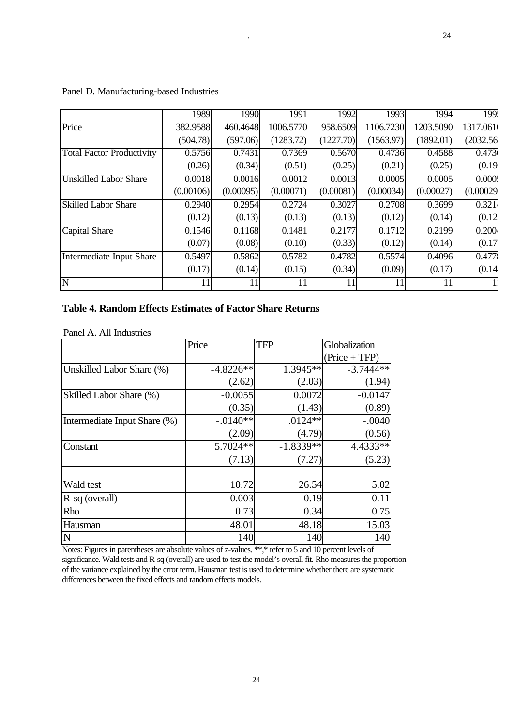|                                  | 1989      | 1990      | 1991      | 1992      | 1993      | 1994      | $\overline{199}$   |
|----------------------------------|-----------|-----------|-----------|-----------|-----------|-----------|--------------------|
| Price                            | 382.9588  | 460.4648  | 1006.5770 | 958.6509  | 1106.7230 | 1203.5090 | 1317.0610          |
|                                  | (504.78)  | (597.06)  | (1283.72) | (1227.70) | (1563.97) | (1892.01) | (2032.56)          |
| <b>Total Factor Productivity</b> | 0.5756    | 0.7431    | 0.7369    | 0.5670    | 0.4736    | 0.4588    | 0.473              |
|                                  | (0.26)    | (0.34)    | (0.51)    | (0.25)    | (0.21)    | (0.25)    | (0.19)             |
| <b>Unskilled Labor Share</b>     | 0.0018    | 0.0016    | 0.0012    | 0.0013    | 0.0005    | 0.0005    | 0.000              |
|                                  | (0.00106) | (0.00095) | (0.00071) | (0.00081) | (0.00034) | (0.00027) | (0.00029)          |
| <b>Skilled Labor Share</b>       | 0.2940    | 0.2954    | 0.2724    | 0.3027    | 0.2708    | 0.3699    | $\overline{0.321}$ |
|                                  | (0.12)    | (0.13)    | (0.13)    | (0.13)    | (0.12)    | (0.14)    | (0.12)             |
| Capital Share                    | 0.1546    | 0.1168    | 0.1481    | 0.2177    | 0.1712    | 0.2199    | 0.200 <sub>k</sub> |
|                                  | (0.07)    | (0.08)    | (0.10)    | (0.33)    | (0.12)    | (0.14)    | (0.17)             |
| Intermediate Input Share         | 0.5497    | 0.5862    | 0.5782    | 0.4782    | 0.5574    | 0.4096    | 0.4775             |
|                                  | (0.17)    | (0.14)    | (0.15)    | (0.34)    | (0.09)    | (0.17)    | (0.14)             |
| $\overline{\text{N}}$            | 11        |           | 11        |           |           |           |                    |

#### Panel D. Manufacturing-based Industries

### **Table 4. Random Effects Estimates of Factor Share Returns**

|  | Panel A. All Industries |  |
|--|-------------------------|--|
|  |                         |  |

|                              | Price       | <b>TFP</b>  | Globalization   |
|------------------------------|-------------|-------------|-----------------|
|                              |             |             | $(Price + TFP)$ |
| Unskilled Labor Share (%)    | $-4.8226**$ | $1.3945**$  | $-3.7444**$     |
|                              | (2.62)      | (2.03)      | (1.94)          |
| Skilled Labor Share (%)      | $-0.0055$   | 0.0072      | $-0.0147$       |
|                              | (0.35)      | (1.43)      | (0.89)          |
| Intermediate Input Share (%) | $-.0140**$  | $.0124**$   | $-.0040$        |
|                              | (2.09)      | (4.79)      | (0.56)          |
| Constant                     | 5.7024**    | $-1.8339**$ | 4.4333**        |
|                              | (7.13)      | (7.27)      | (5.23)          |
| Wald test                    | 10.72       | 26.54       | 5.02            |
| R-sq (overall)               | 0.003       | 0.19        | 0.11            |
| Rho                          | 0.73        | 0.34        | 0.75            |
| Hausman                      | 48.01       | 48.18       | 15.03           |
| N                            | 140         | 140         | 140             |

Notes: Figures in parentheses are absolute values of z-values. \*\*,\* refer to 5 and 10 percent levels of significance. Wald tests and R-sq (overall) are used to test the model's overall fit. Rho measures the proportion of the variance explained by the error term. Hausman test is used to determine whether there are systematic differences between the fixed effects and random effects models.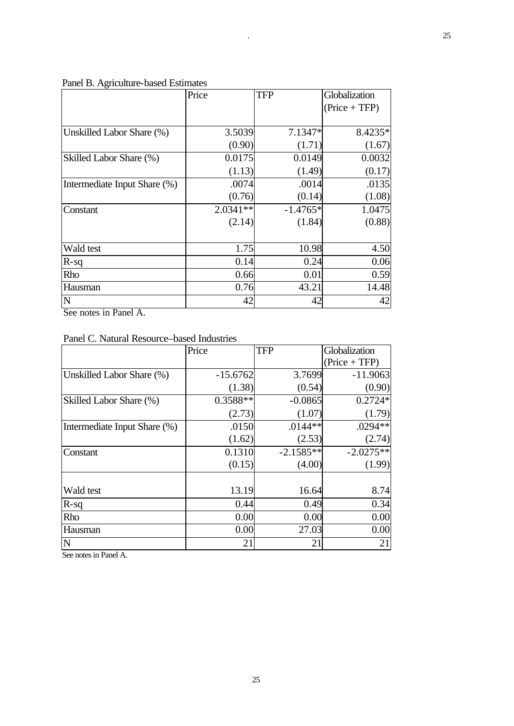| O                            | Price      | <b>TFP</b> | Globalization   |
|------------------------------|------------|------------|-----------------|
|                              |            |            | $(Price + TFP)$ |
|                              |            |            |                 |
| Unskilled Labor Share (%)    | 3.5039     | 7.1347*    | 8.4235*         |
|                              | (0.90)     | (1.71)     | (1.67)          |
| Skilled Labor Share (%)      | 0.0175     | 0.0149     | 0.0032          |
|                              | (1.13)     | (1.49)     | (0.17)          |
| Intermediate Input Share (%) | .0074      | .0014      | .0135           |
|                              | (0.76)     | (0.14)     | (1.08)          |
| Constant                     | $2.0341**$ | $-1.4765*$ | 1.0475          |
|                              | (2.14)     | (1.84)     | (0.88)          |
|                              |            |            |                 |
| Wald test                    | 1.75       | 10.98      | 4.50            |
| $R-sq$                       | 0.14       | 0.24       | 0.06            |
| Rho                          | 0.66       | 0.01       | 0.59            |
| Hausman                      | 0.76       | 43.21      | 14.48           |
| N                            | 42         | 42         | 42              |

### Panel B. Agriculture-based Estimates

See notes in Panel A.

| Panel C. Natural Resource–based Industries |  |  |  |
|--------------------------------------------|--|--|--|
|--------------------------------------------|--|--|--|

|                              | Price      | <b>TFP</b>  | Globalization   |
|------------------------------|------------|-------------|-----------------|
|                              |            |             | $(Price + TFP)$ |
| Unskilled Labor Share (%)    | $-15.6762$ | 3.7699      | $-11.9063$      |
|                              | (1.38)     | (0.54)      | (0.90)          |
| Skilled Labor Share (%)      | $0.3588**$ | $-0.0865$   | $0.2724*$       |
|                              | (2.73)     | (1.07)      | (1.79)          |
| Intermediate Input Share (%) | .0150      | $.0144**$   | $.0294**$       |
|                              | (1.62)     | (2.53)      | (2.74)          |
| Constant                     | 0.1310     | $-2.1585**$ | $-2.0275**$     |
|                              | (0.15)     | (4.00)      | (1.99)          |
|                              |            |             |                 |
| Wald test                    | 13.19      | 16.64       | 8.74            |
| $R-sq$                       | 0.44       | 0.49        | 0.34            |
| Rho                          | 0.00       | 0.00        | 0.00            |
| Hausman                      | 0.00       | 27.03       | 0.00            |
| $\mathbf N$                  | 21         | 21          | 21              |

See notes in Panel A.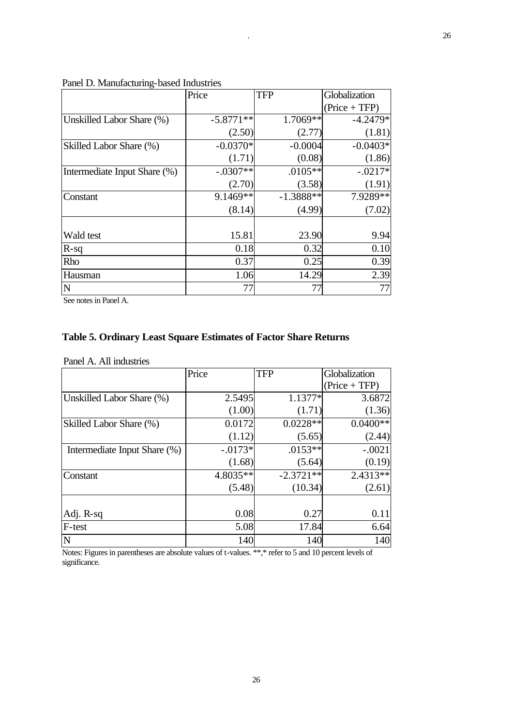|                              | Price       | <b>TFP</b>  | Globalization   |
|------------------------------|-------------|-------------|-----------------|
|                              |             |             | $(Price + TFP)$ |
| Unskilled Labor Share (%)    | $-5.8771**$ | 1.7069**    | $-4.2479*$      |
|                              | (2.50)      | (2.77)      | (1.81)          |
| Skilled Labor Share (%)      | $-0.0370*$  | $-0.0004$   | $-0.0403*$      |
|                              | (1.71)      | (0.08)      | (1.86)          |
| Intermediate Input Share (%) | $-.0307**$  | $.0105**$   | $-.0217*$       |
|                              | (2.70)      | (3.58)      | (1.91)          |
| Constant                     | 9.1469**    | $-1.3888**$ | $7.9289**$      |
|                              | (8.14)      | (4.99)      | (7.02)          |
|                              |             |             |                 |
| Wald test                    | 15.81       | 23.90       | 9.94            |
| $R-sq$                       | 0.18        | 0.32        | 0.10            |
| Rho                          | 0.37        | 0.25        | 0.39            |
| Hausman                      | 1.06        | 14.29       | 2.39            |
| $\mathbf N$                  | 77          | 77          | 77              |

#### Panel D. Manufacturing-based Industries

See notes in Panel A.

## **Table 5. Ordinary Least Square Estimates of Factor Share Returns**

Panel A. All industries

|                              | Price      | <b>TFP</b>  | Globalization   |
|------------------------------|------------|-------------|-----------------|
|                              |            |             | $(Price + TFP)$ |
| Unskilled Labor Share (%)    | 2.5495     | 1.1377*     | 3.6872          |
|                              | (1.00)     | (1.71)      | (1.36)          |
| Skilled Labor Share (%)      | 0.0172     | $0.0228**$  | $0.0400**$      |
|                              | (1.12)     | (5.65)      | (2.44)          |
| Intermediate Input Share (%) | $-0.0173*$ | $.0153**$   | $-.0021$        |
|                              | (1.68)     | (5.64)      | (0.19)          |
| Constant                     | 4.8035**   | $-2.3721**$ | $2.4313**$      |
|                              | (5.48)     | (10.34)     | (2.61)          |
|                              |            |             |                 |
| Adj. R-sq                    | 0.08       | 0.27        | 0.11            |
| F-test                       | 5.08       | 17.84       | 6.64            |
| $\mathbf N$                  | 140        | 140         | 140             |

Notes: Figures in parentheses are absolute values of t-values. \*\*,\* refer to 5 and 10 percent levels of significance.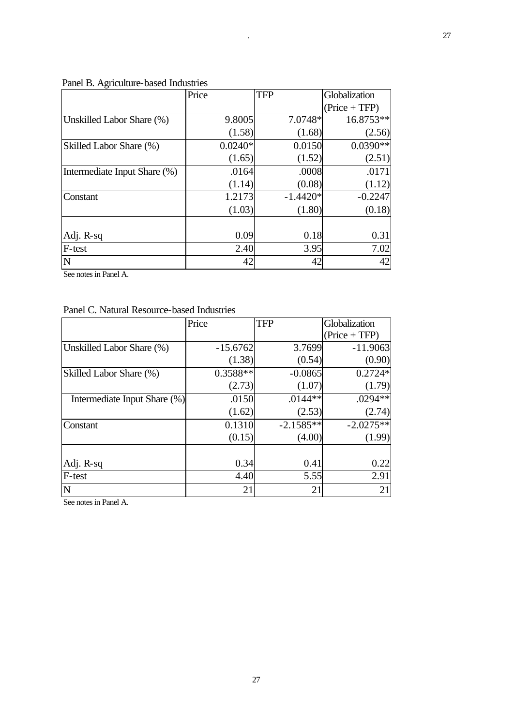| O                            | Price     | <b>TFP</b> | Globalization   |
|------------------------------|-----------|------------|-----------------|
|                              |           |            | $(Price + TFP)$ |
| Unskilled Labor Share (%)    | 9.8005    | 7.0748*    | 16.8753**       |
|                              | (1.58)    | (1.68)     | (2.56)          |
| Skilled Labor Share (%)      | $0.0240*$ | 0.0150     | $0.0390**$      |
|                              | (1.65)    | (1.52)     | (2.51)          |
| Intermediate Input Share (%) | .0164     | .0008      | .0171           |
|                              | (1.14)    | (0.08)     | (1.12)          |
| Constant                     | 1.2173    | $-1.4420*$ | $-0.2247$       |
|                              | (1.03)    | (1.80)     | (0.18)          |
|                              |           |            |                 |
| Adj. R-sq                    | 0.09      | 0.18       | 0.31            |
| F-test                       | 2.40      | 3.95       | 7.02            |
| N                            | 42        | 42         | 42              |

#### Panel B. Agriculture-based Industries

See notes in Panel A.

## Panel C. Natural Resource-based Industries

|                              | Price      | <b>TFP</b>  | Globalization   |
|------------------------------|------------|-------------|-----------------|
|                              |            |             | $(Price + TFP)$ |
| Unskilled Labor Share (%)    | $-15.6762$ | 3.7699      | $-11.9063$      |
|                              | (1.38)     | (0.54)      | (0.90)          |
| Skilled Labor Share (%)      | $0.3588**$ | $-0.0865$   | $0.2724*$       |
|                              | (2.73)     | (1.07)      | (1.79)          |
| Intermediate Input Share (%) | .0150      | $.0144**$   | .0294**         |
|                              | (1.62)     | (2.53)      | (2.74)          |
| Constant                     | 0.1310     | $-2.1585**$ | $-2.0275**$     |
|                              | (0.15)     | (4.00)      | (1.99)          |
|                              |            |             |                 |
| Adj. R-sq                    | 0.34       | 0.41        | 0.22            |
| F-test                       | 4.40       | 5.55        | 2.91            |
| N                            | 21         | 21          | 21              |

See notes in Panel A.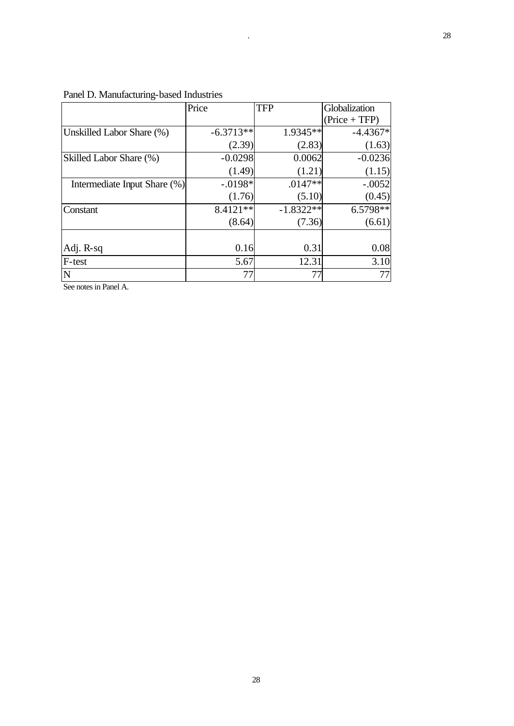|                              | Price       | <b>TFP</b>  | Globalization   |
|------------------------------|-------------|-------------|-----------------|
|                              |             |             | $(Price + TFP)$ |
| Unskilled Labor Share (%)    | $-6.3713**$ | 1.9345**    | $-4.4367*$      |
|                              | (2.39)      | (2.83)      | (1.63)          |
| Skilled Labor Share (%)      | $-0.0298$   | 0.0062      | $-0.0236$       |
|                              | (1.49)      | (1.21)      | (1.15)          |
| Intermediate Input Share (%) | $-.0198*$   | $.0147**$   | $-.0052$        |
|                              | (1.76)      | (5.10)      | (0.45)          |
| Constant                     | 8.4121**    | $-1.8322**$ | $6.5798**$      |
|                              | (8.64)      | (7.36)      | (6.61)          |
|                              |             |             |                 |
| Adj. R-sq                    | 0.16        | 0.31        | 0.08            |
| F-test                       | 5.67        | 12.31       | 3.10            |
| N                            | 77          | 77          | 77              |

Panel D. Manufacturing-based Industries

See notes in Panel A.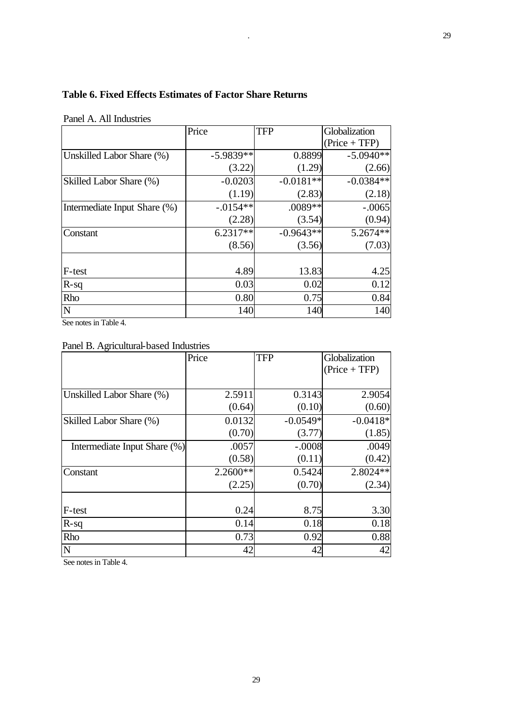## **Table 6. Fixed Effects Estimates of Factor Share Returns**

|                              | Price       | <b>TFP</b>  | Globalization   |
|------------------------------|-------------|-------------|-----------------|
|                              |             |             | $(Price + TFP)$ |
| Unskilled Labor Share (%)    | $-5.9839**$ | 0.8899      | $-5.0940**$     |
|                              | (3.22)      | (1.29)      | (2.66)          |
| Skilled Labor Share (%)      | $-0.0203$   | $-0.0181**$ | $-0.0384**$     |
|                              | (1.19)      | (2.83)      | (2.18)          |
| Intermediate Input Share (%) | $-.0154**$  | .0089**     | $-.0065$        |
|                              | (2.28)      | (3.54)      | (0.94)          |
| Constant                     | $6.2317**$  | $-0.9643**$ | $5.2674**$      |
|                              | (8.56)      | (3.56)      | (7.03)          |
|                              |             |             |                 |
| F-test                       | 4.89        | 13.83       | 4.25            |
| $R-sq$                       | 0.03        | 0.02        | 0.12            |
| Rho                          | 0.80        | 0.75        | 0.84            |
| N                            | 140         | 140         | 140             |

Panel A. All Industries

See notes in Table 4.

Panel B. Agricultural-based Industries

|                              | Price      | <b>TFP</b> | Globalization   |
|------------------------------|------------|------------|-----------------|
|                              |            |            | $(Price + TFP)$ |
|                              |            |            |                 |
| Unskilled Labor Share (%)    | 2.5911     | 0.3143     | 2.9054          |
|                              | (0.64)     | (0.10)     | (0.60)          |
| Skilled Labor Share (%)      | 0.0132     | $-0.0549*$ | $-0.0418*$      |
|                              | (0.70)     | (3.77)     | (1.85)          |
| Intermediate Input Share (%) | .0057      | $-.0008$   | .0049           |
|                              | (0.58)     | (0.11)     | (0.42)          |
| Constant                     | $2.2600**$ | 0.5424     | 2.8024 **       |
|                              | (2.25)     | (0.70)     | (2.34)          |
|                              |            |            |                 |
| F-test                       | 0.24       | 8.75       | 3.30            |
| $R-sq$                       | 0.14       | 0.18       | 0.18            |
| Rho                          | 0.73       | 0.92       | 0.88            |
| $\mathbf N$                  | 42         | 42         | 42              |

See notes in Table 4.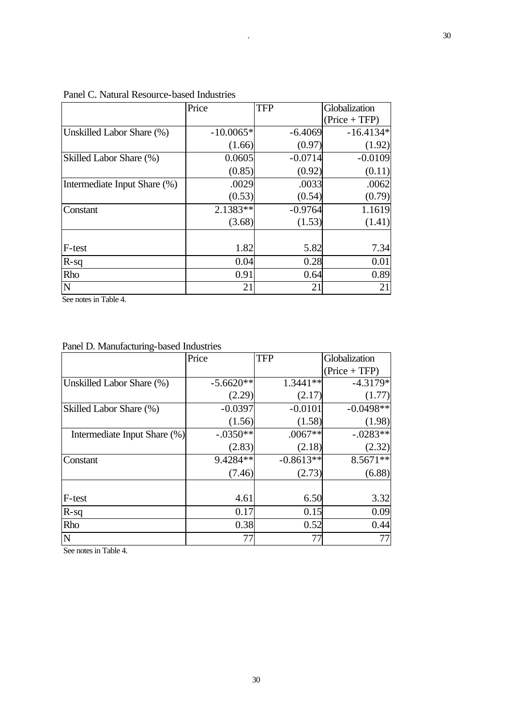|                              | Price       | <b>TFP</b> | Globalization   |
|------------------------------|-------------|------------|-----------------|
|                              |             |            | $(Price + TFP)$ |
| Unskilled Labor Share (%)    | $-10.0065*$ | $-6.4069$  | $-16.4134*$     |
|                              | (1.66)      | (0.97)     | (1.92)          |
| Skilled Labor Share (%)      | 0.0605      | $-0.0714$  | $-0.0109$       |
|                              | (0.85)      | (0.92)     | (0.11)          |
| Intermediate Input Share (%) | .0029       | .0033      | .0062           |
|                              | (0.53)      | (0.54)     | (0.79)          |
| Constant                     | 2.1383**    | $-0.9764$  | 1.1619          |
|                              | (3.68)      | (1.53)     | (1.41)          |
|                              |             |            |                 |
| F-test                       | 1.82        | 5.82       | 7.34            |
| $R-sq$                       | 0.04        | 0.28       | 0.01            |
| Rho                          | 0.91        | 0.64       | 0.89            |
| $\mathbf N$                  | 21          | 21         | 21              |

## Panel C. Natural Resource-based Industries

See notes in Table 4.

## Panel D. Manufacturing-based Industries

|                              | Price       | <b>TFP</b>  | Globalization   |
|------------------------------|-------------|-------------|-----------------|
|                              |             |             | $(Price + TFP)$ |
| Unskilled Labor Share (%)    | $-5.6620**$ | $1.3441**$  | $-4.3179*$      |
|                              | (2.29)      | (2.17)      | (1.77)          |
| Skilled Labor Share (%)      | $-0.0397$   | $-0.0101$   | $-0.0498**$     |
|                              | (1.56)      | (1.58)      | (1.98)          |
| Intermediate Input Share (%) | $-.0350**$  | $.0067**$   | $-.0283**$      |
|                              | (2.83)      | (2.18)      | (2.32)          |
| Constant                     | 9.4284**    | $-0.8613**$ | $8.5671**$      |
|                              | (7.46)      | (2.73)      | (6.88)          |
|                              |             |             |                 |
| F-test                       | 4.61        | 6.50        | 3.32            |
| $R-sq$                       | 0.17        | 0.15        | 0.09            |
| Rho                          | 0.38        | 0.52        | 0.44            |
| $\mathbf N$                  | 77          | 77          | 77              |

See notes in Table 4.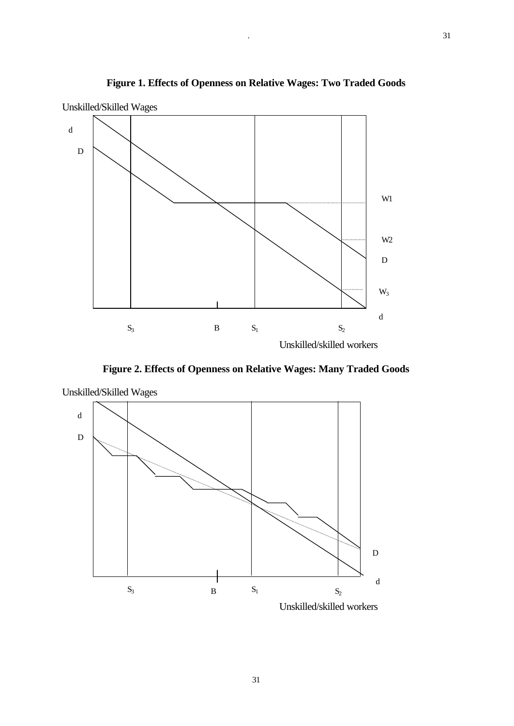

**Figure 1. Effects of Openness on Relative Wages: Two Traded Goods**

**Figure 2. Effects of Openness on Relative Wages: Many Traded Goods**



Unskilled/Skilled Wages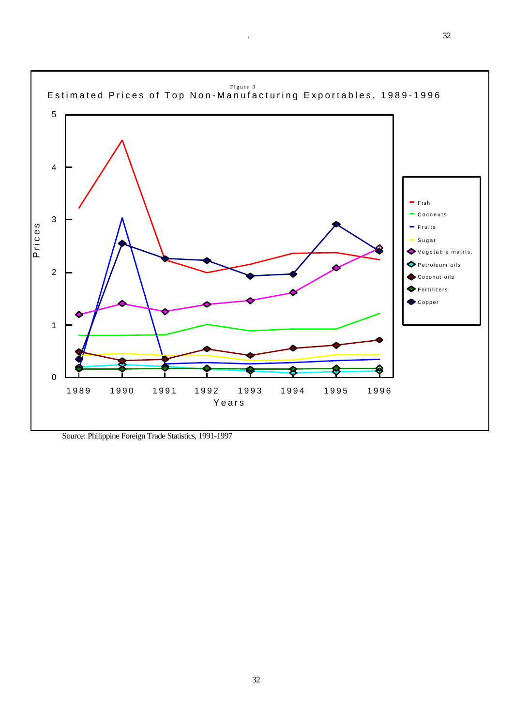

Source: Philippine Foreign Trade Statistics, 1991-1997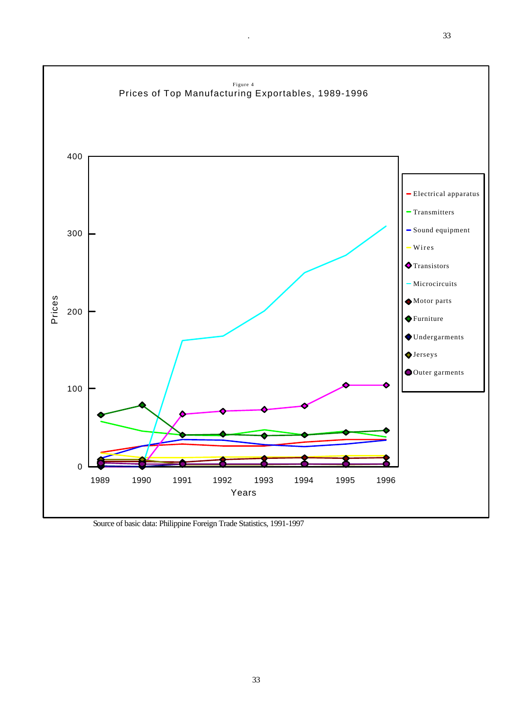

. 33

Source of basic data: Philippine Foreign Trade Statistics, 1991-1997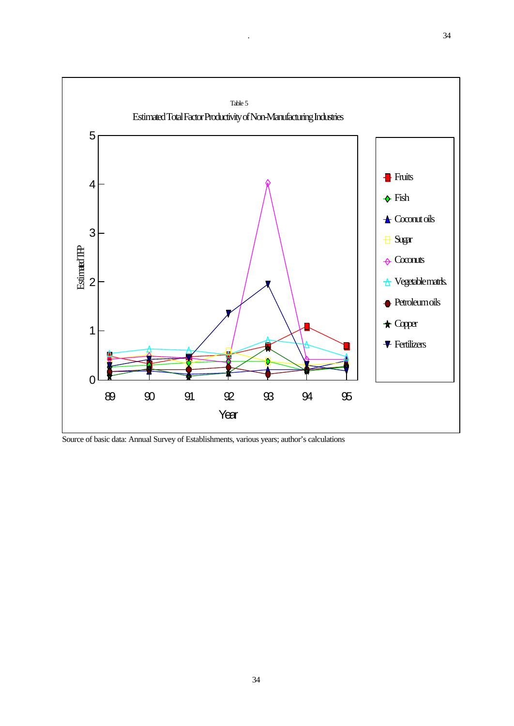

Source of basic data: Annual Survey of Establishments, various years; author's calculations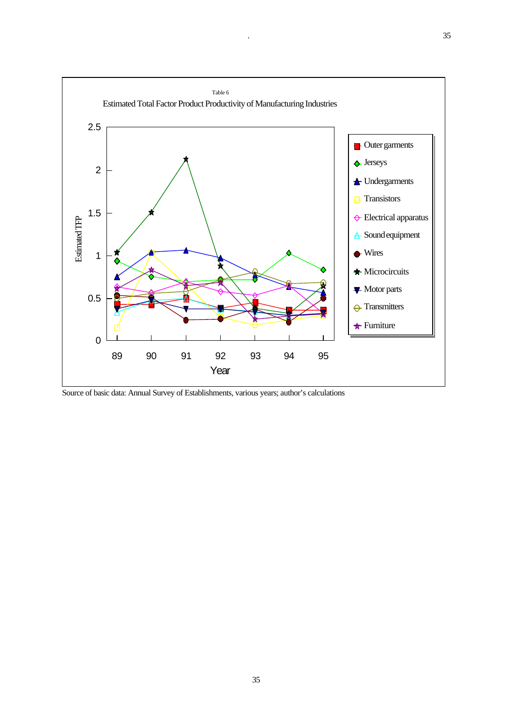

Source of basic data: Annual Survey of Establishments, various years; author's calculations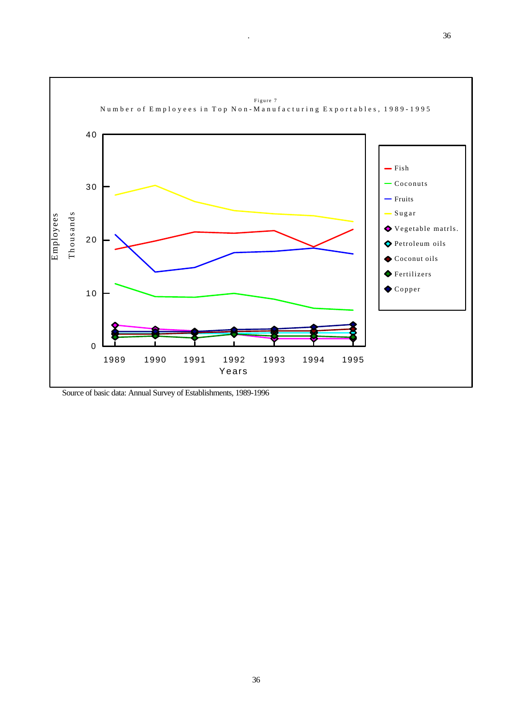

Source of basic data: Annual Survey of Establishments, 1989-1996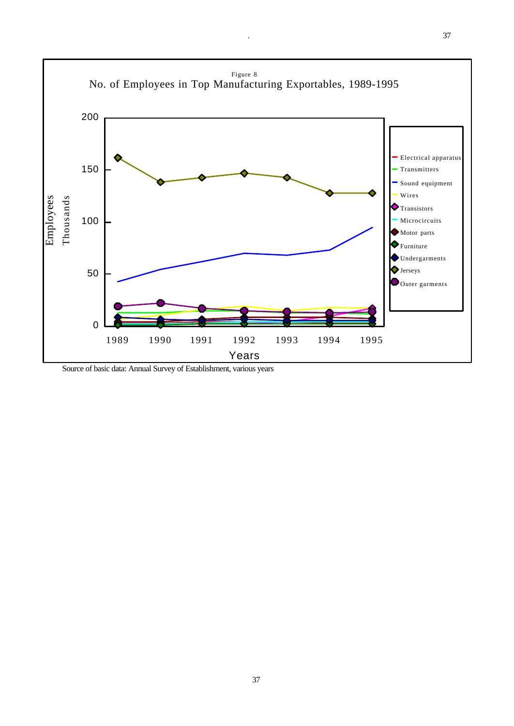

Source of basic data: Annual Survey of Establishment, various years

37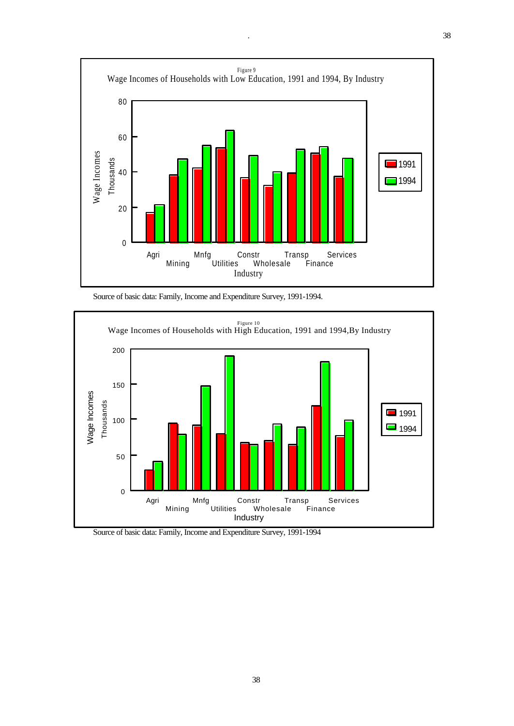

Source of basic data: Family, Income and Expenditure Survey, 1991-1994.



Source of basic data: Family, Income and Expenditure Survey, 1991-1994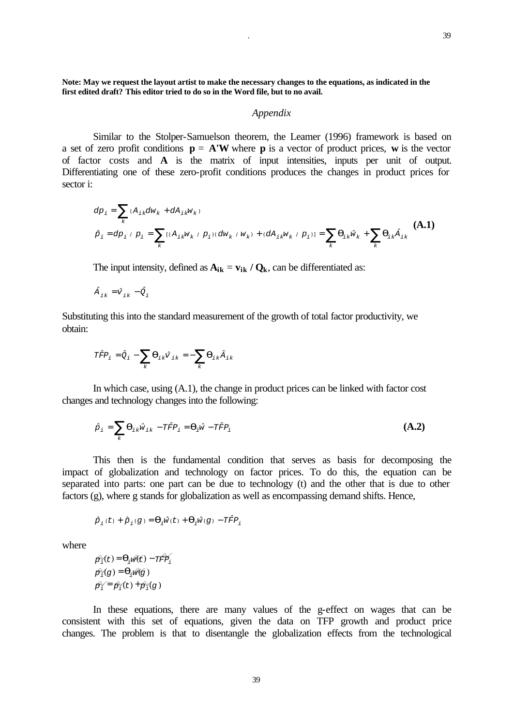**Note: May we request the layout artist to make the necessary changes to the equations, as indicated in the first edited draft? This editor tried to do so in the Word file, but to no avail.**

#### *Appendix*

Similar to the Stolper-Samuelson theorem, the Leamer (1996) framework is based on a set of zero profit conditions  $\mathbf{p} = \mathbf{A}^{\dagger} \mathbf{W}$  where **p** is a vector of product prices, **w** is the vector of factor costs and **A** is the matrix of input intensities, inputs per unit of output. Differentiating one of these zero-profit conditions produces the changes in product prices for sector i:

$$
dp_{i} = \sum_{k} (A_{ik}dw_{k} + dA_{ik}w_{k})
$$
  
\n
$$
\hat{p}_{i} = dp_{i} / p_{i} = \sum_{k} [(A_{ik}w_{k} / p_{i})(dw_{k} / w_{k}) + (dA_{ik}w_{k} / p_{i})] = \sum_{k} \mathbf{q}_{ik} \hat{w}_{k} + \sum_{k} \mathbf{q}_{ik} \hat{A}_{ik}
$$
 (A.1)

The input intensity, defined as  $A_{ik} = v_{ik} / Q_k$ , can be differentiated as:

$$
\hat{A}_{ik} = \hat{v}_{ik} - \hat{Q}_i
$$

Substituting this into the standard measurement of the growth of total factor productivity, we obtain:

$$
T\hat{F}P_i = \hat{Q}_i - \sum_k \mathbf{q}_{ik}\hat{V}_{ik} = -\sum_k \mathbf{q}_{ik}\hat{A}_{ik}
$$

In which case, using (A.1), the change in product prices can be linked with factor cost changes and technology changes into the following:

$$
\hat{p}_i = \sum_k \boldsymbol{q}_{ik} \hat{w}_{ik} - T \hat{F} P_i = \boldsymbol{q}_i \hat{w} - T \hat{F} P_i
$$
\n
$$
(A.2)
$$

This then is the fundamental condition that serves as basis for decomposing the impact of globalization and technology on factor prices. To do this, the equation can be separated into parts: one part can be due to technology (t) and the other that is due to other factors (g), where g stands for globalization as well as encompassing demand shifts. Hence,

$$
\hat{p}_i\left(t\right) + \hat{p}_i(g) = \pmb{q}_i \hat{w}(t) + \pmb{q}_i \hat{w}(g) - T \hat{F} P_i
$$

where

$$
\begin{aligned} \hat{\mathcal{B}}_1^{\mathcal{C}}(t) &= \mathbf{q}_1 \hat{\mathcal{W}}(t) - \text{Tr} \hat{\mathcal{B}}_1^{\mathcal{C}} \\ \hat{\mathcal{B}}_1^{\mathcal{C}}(g) &= \mathbf{q}_1 \hat{\mathcal{W}}(g) \\ \hat{\mathcal{B}}_1^{\mathcal{C}} &= \hat{\mathcal{B}}_1^{\mathcal{C}}(t) + \hat{\mathcal{B}}_1^{\mathcal{C}}(g) \end{aligned}
$$

In these equations, there are many values of the g-effect on wages that can be consistent with this set of equations, given the data on TFP growth and product price changes. The problem is that to disentangle the globalization effects from the technological